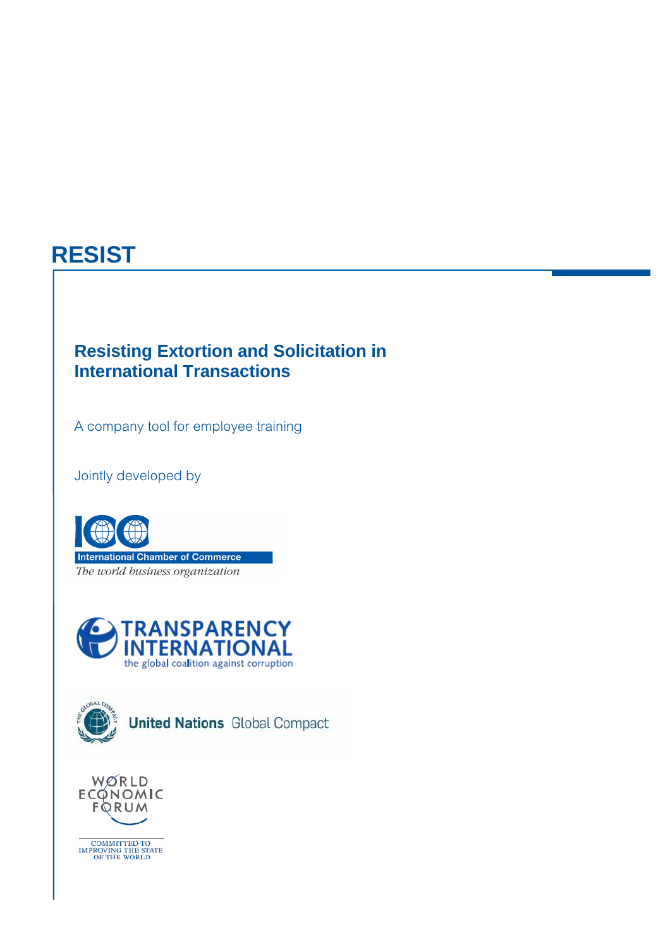# **RESIST**

## **Resisting Extortion and Solicitation in International Transactions**

A company tool for employee training

Jointly developed by







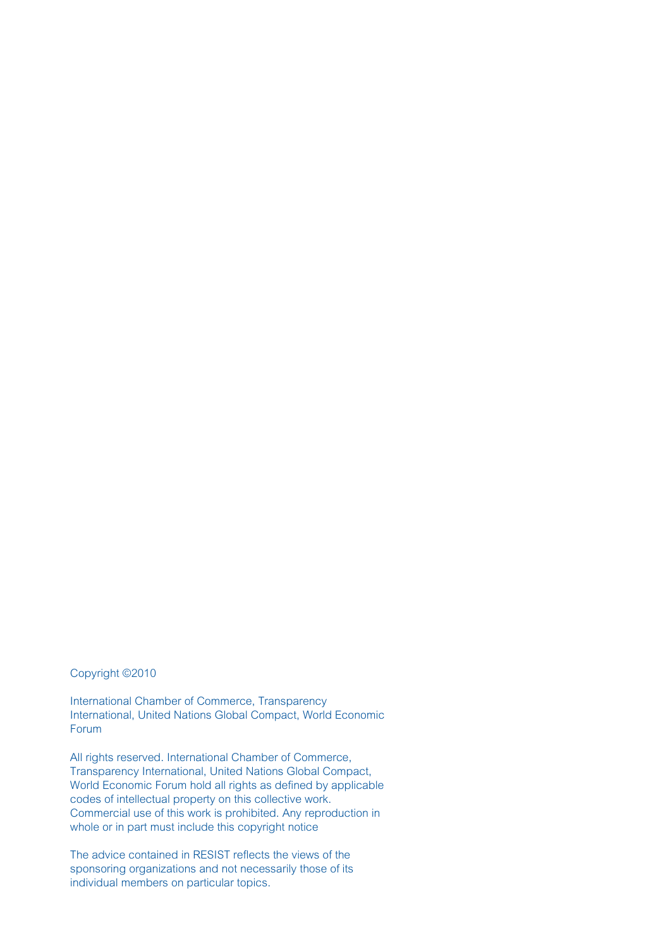#### Copyright ©2010

International Chamber of Commerce, Transparency International, United Nations Global Compact, World Economic Forum

All rights reserved. International Chamber of Commerce, Transparency International, United Nations Global Compact, World Economic Forum hold all rights as defined by applicable codes of intellectual property on this collective work. Commercial use of this work is prohibited. Any reproduction in whole or in part must include this copyright notice

The advice contained in RESIST reflects the views of the sponsoring organizations and not necessarily those of its individual members on particular topics.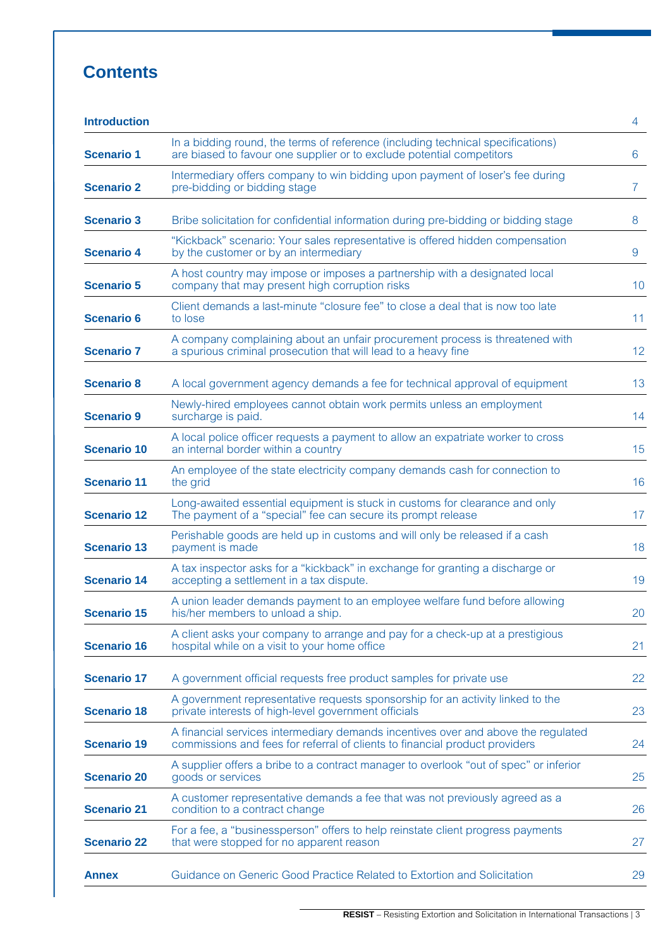## **Contents**

| <b>Introduction</b> |                                                                                                                                                                  | 4              |
|---------------------|------------------------------------------------------------------------------------------------------------------------------------------------------------------|----------------|
| <b>Scenario 1</b>   | In a bidding round, the terms of reference (including technical specifications)<br>are biased to favour one supplier or to exclude potential competitors         | 6              |
| <b>Scenario 2</b>   | Intermediary offers company to win bidding upon payment of loser's fee during<br>pre-bidding or bidding stage                                                    | $\overline{7}$ |
| <b>Scenario 3</b>   | Bribe solicitation for confidential information during pre-bidding or bidding stage                                                                              | 8              |
| <b>Scenario 4</b>   | "Kickback" scenario: Your sales representative is offered hidden compensation<br>by the customer or by an intermediary                                           | 9              |
| <b>Scenario 5</b>   | A host country may impose or imposes a partnership with a designated local<br>company that may present high corruption risks                                     | 10             |
| <b>Scenario 6</b>   | Client demands a last-minute "closure fee" to close a deal that is now too late<br>to lose                                                                       | 11             |
| <b>Scenario 7</b>   | A company complaining about an unfair procurement process is threatened with<br>a spurious criminal prosecution that will lead to a heavy fine                   | 12             |
| <b>Scenario 8</b>   | A local government agency demands a fee for technical approval of equipment                                                                                      | 13             |
| <b>Scenario 9</b>   | Newly-hired employees cannot obtain work permits unless an employment<br>surcharge is paid.                                                                      | 14             |
| <b>Scenario 10</b>  | A local police officer requests a payment to allow an expatriate worker to cross<br>an internal border within a country                                          | 15             |
| <b>Scenario 11</b>  | An employee of the state electricity company demands cash for connection to<br>the grid                                                                          | 16             |
| <b>Scenario 12</b>  | Long-awaited essential equipment is stuck in customs for clearance and only<br>The payment of a "special" fee can secure its prompt release                      | 17             |
| <b>Scenario 13</b>  | Perishable goods are held up in customs and will only be released if a cash<br>payment is made                                                                   | 18             |
| <b>Scenario 14</b>  | A tax inspector asks for a "kickback" in exchange for granting a discharge or<br>accepting a settlement in a tax dispute.                                        | 19             |
| <b>Scenario 15</b>  | A union leader demands payment to an employee welfare fund before allowing<br>his/her members to unload a ship.                                                  | 20             |
| <b>Scenario 16</b>  | A client asks your company to arrange and pay for a check-up at a prestigious<br>hospital while on a visit to your home office                                   | 21             |
| <b>Scenario 17</b>  | A government official requests free product samples for private use                                                                                              | 22             |
| <b>Scenario 18</b>  | A government representative requests sponsorship for an activity linked to the<br>private interests of high-level government officials                           | 23             |
| <b>Scenario 19</b>  | A financial services intermediary demands incentives over and above the regulated<br>commissions and fees for referral of clients to financial product providers | 24             |
| <b>Scenario 20</b>  | A supplier offers a bribe to a contract manager to overlook "out of spec" or inferior<br>goods or services                                                       | 25             |
| <b>Scenario 21</b>  | A customer representative demands a fee that was not previously agreed as a<br>condition to a contract change                                                    | 26             |
| <b>Scenario 22</b>  | For a fee, a "businessperson" offers to help reinstate client progress payments<br>that were stopped for no apparent reason                                      | 27             |
| <b>Annex</b>        | Guidance on Generic Good Practice Related to Extortion and Solicitation                                                                                          | 29             |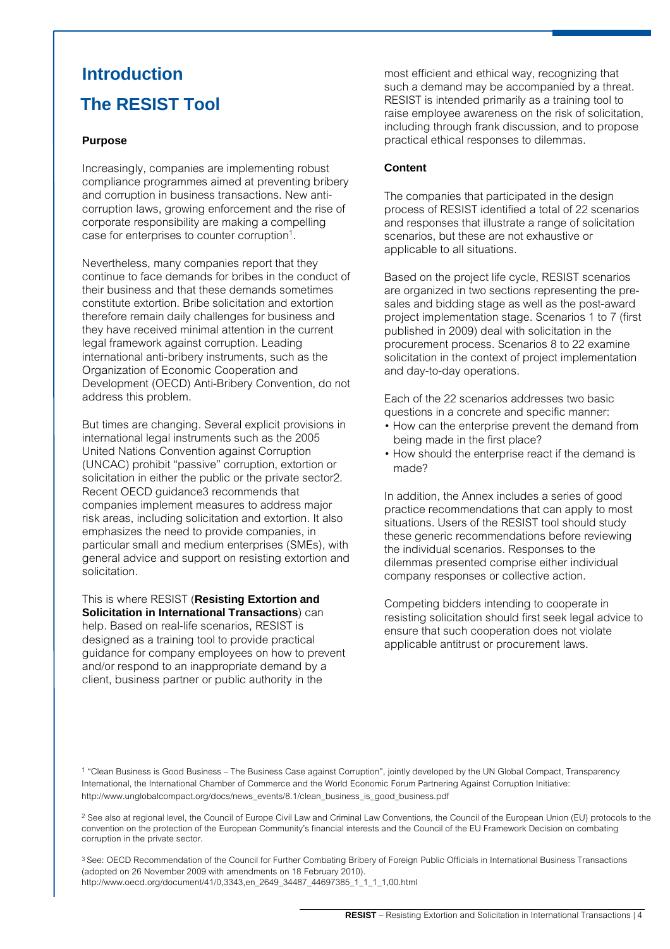## **The RESIST Tool Introduction**

#### **Purpose**

Increasingly, companies are implementing robust compliance programmes aimed at preventing bribery and corruption in business transactions. New anticorruption laws, growing enforcement and the rise of corporate responsibility are making a compelling case for enterprises to counter corruption<sup>1</sup>.

Nevertheless, many companies report that they continue to face demands for bribes in the conduct of their business and that these demands sometimes constitute extortion. Bribe solicitation and extortion therefore remain daily challenges for business and they have received minimal attention in the current legal framework against corruption. Leading international anti-bribery instruments, such as the Organization of Economic Cooperation and Development (OECD) Anti-Bribery Convention, do not address this problem.

But times are changing. Several explicit provisions in international legal instruments such as the 2005 United Nations Convention against Corruption (UNCAC) prohibit "passive" corruption, extortion or solicitation in either the public or the private sector2. Recent OECD guidance3 recommends that companies implement measures to address major risk areas, including solicitation and extortion. It also emphasizes the need to provide companies, in particular small and medium enterprises (SMEs), with general advice and support on resisting extortion and solicitation.

This is where RESIST (**Resisting Extortion and Solicitation in International Transactions**) can help. Based on real-life scenarios, RESIST is designed as a training tool to provide practical guidance for company employees on how to prevent and/or respond to an inappropriate demand by a client, business partner or public authority in the

most efficient and ethical way, recognizing that such a demand may be accompanied by a threat. RESIST is intended primarily as a training tool to raise employee awareness on the risk of solicitation, including through frank discussion, and to propose practical ethical responses to dilemmas.

#### **Content**

The companies that participated in the design process of RESIST identified a total of 22 scenarios and responses that illustrate a range of solicitation scenarios, but these are not exhaustive or applicable to all situations.

Based on the project life cycle, RESIST scenarios are organized in two sections representing the presales and bidding stage as well as the post-award project implementation stage. Scenarios 1 to 7 (first published in 2009) deal with solicitation in the procurement process. Scenarios 8 to 22 examine solicitation in the context of project implementation and day-to-day operations.

Each of the 22 scenarios addresses two basic questions in a concrete and specific manner:

- How can the enterprise prevent the demand from being made in the first place?
- How should the enterprise react if the demand is made?

In addition, the Annex includes a series of good practice recommendations that can apply to most situations. Users of the RESIST tool should study these generic recommendations before reviewing the individual scenarios. Responses to the dilemmas presented comprise either individual company responses or collective action.

Competing bidders intending to cooperate in resisting solicitation should first seek legal advice to ensure that such cooperation does not violate applicable antitrust or procurement laws.

<sup>1</sup> "Clean Business is Good Business – The Business Case against Corruption", jointly developed by the UN Global Compact, Transparency International, the International Chamber of Commerce and the World Economic Forum Partnering Against Corruption Initiative: http://www.unglobalcompact.org/docs/news\_events/8.1/clean\_business\_is\_good\_business.pdf

<sup>2</sup> See also at regional level, the Council of Europe Civil Law and Criminal Law Conventions, the Council of the European Union (EU) protocols to the convention on the protection of the European Community's financial interests and the Council of the EU Framework Decision on combating corruption in the private sector.

<sup>3</sup> See: OECD Recommendation of the Council for Further Combating Bribery of Foreign Public Officials in International Business Transactions (adopted on 26 November 2009 with amendments on 18 February 2010). http://www.oecd.org/document/41/0,3343,en\_2649\_34487\_44697385\_1\_1\_1\_1,00.html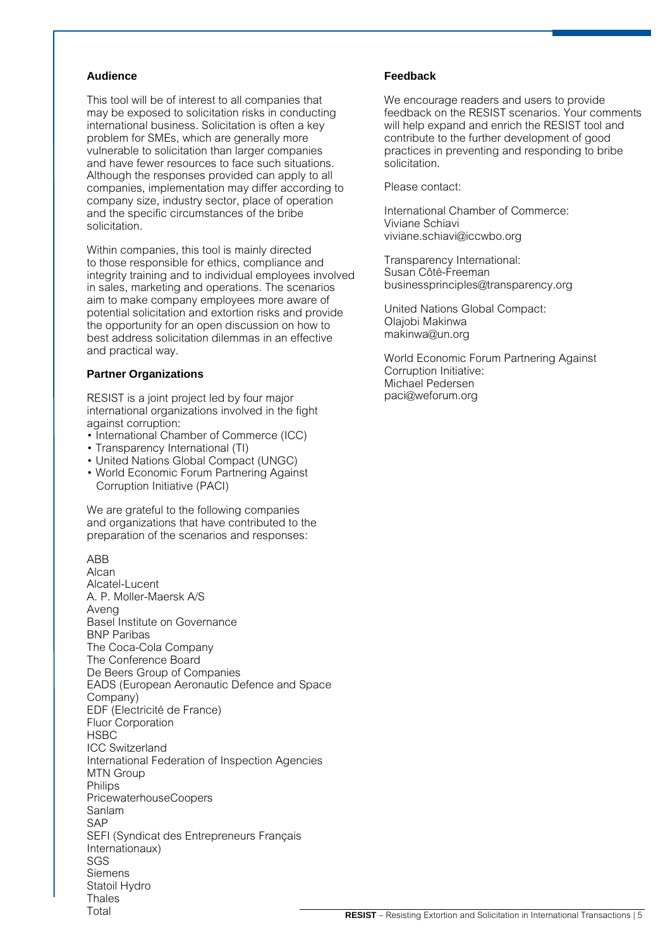#### **Audience**

This tool will be of interest to all companies that may be exposed to solicitation risks in conducting international business. Solicitation is often a key problem for SMEs, which are generally more vulnerable to solicitation than larger companies and have fewer resources to face such situations. Although the responses provided can apply to all companies, implementation may differ according to company size, industry sector, place of operation and the specific circumstances of the bribe solicitation.

Within companies, this tool is mainly directed to those responsible for ethics, compliance and integrity training and to individual employees involved in sales, marketing and operations. The scenarios aim to make company employees more aware of potential solicitation and extortion risks and provide the opportunity for an open discussion on how to best address solicitation dilemmas in an effective and practical way.

#### **Partner Organizations**

RESIST is a joint project led by four major international organizations involved in the fight against corruption:

- International Chamber of Commerce (ICC)
- Transparency International (TI)
- United Nations Global Compact (UNGC)
- World Economic Forum Partnering Against Corruption Initiative (PACI)

We are grateful to the following companies and organizations that have contributed to the preparation of the scenarios and responses:

#### ABB

Alcan Alcatel-Lucent A. P. Moller-Maersk A/S Aveng Basel Institute on Governance BNP Paribas The Coca-Cola Company The Conference Board De Beers Group of Companies EADS (European Aeronautic Defence and Space Company) EDF (Electricité de France) Fluor Corporation HSBC ICC Switzerland International Federation of Inspection Agencies MTN Group **Philips** PricewaterhouseCoopers Sanlam **SAP** SEFI (Syndicat des Entrepreneurs Français Internationaux) SGS Siemens Statoil Hydro **Thales** 

#### **Feedback**

We encourage readers and users to provide feedback on the RESIST scenarios. Your comments will help expand and enrich the RESIST tool and contribute to the further development of good practices in preventing and responding to bribe solicitation.

Please contact:

International Chamber of Commerce: Viviane Schiavi viviane.schiavi@iccwbo.org

Transparency International: Susan Côté-Freeman businessprinciples@transparency.org

United Nations Global Compact: Olajobi Makinwa makinwa@un.org

World Economic Forum Partnering Against Corruption Initiative: Michael Pedersen paci@weforum.org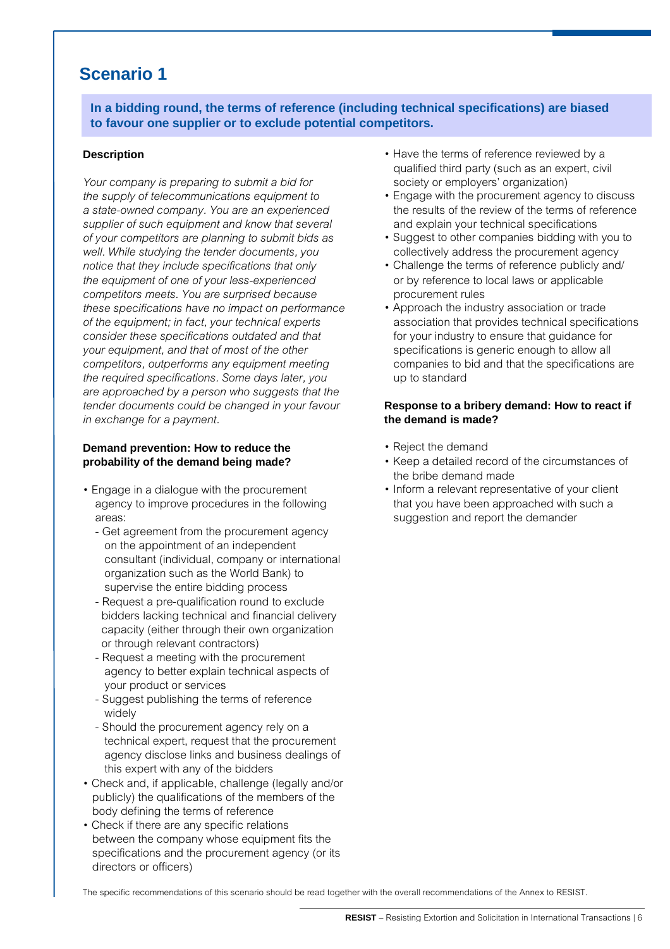**In a bidding round, the terms of reference (including technical specifications) are biased to favour one supplier or to exclude potential competitors.**

#### **Description**

*Your company is preparing to submit a bid for the supply of telecommunications equipment to a state-owned company. You are an experienced supplier of such equipment and know that several of your competitors are planning to submit bids as well. While studying the tender documents, you notice that they include specifications that only the equipment of one of your less-experienced competitors meets. You are surprised because these specifications have no impact on performance of the equipment; in fact, your technical experts consider these specifications outdated and that your equipment, and that of most of the other competitors, outperforms any equipment meeting the required specifications. Some days later, you are approached by a person who suggests that the tender documents could be changed in your favour in exchange for a payment.*

#### **Demand prevention: How to reduce the probability of the demand being made?**

- Engage in a dialogue with the procurement agency to improve procedures in the following areas:
	- Get agreement from the procurement agency on the appointment of an independent consultant (individual, company or international organization such as the World Bank) to supervise the entire bidding process
	- Request a pre-qualification round to exclude bidders lacking technical and financial delivery capacity (either through their own organization or through relevant contractors)
	- Request a meeting with the procurement agency to better explain technical aspects of your product or services
	- Suggest publishing the terms of reference widely
	- Should the procurement agency rely on a technical expert, request that the procurement agency disclose links and business dealings of this expert with any of the bidders
- Check and, if applicable, challenge (legally and/or publicly) the qualifications of the members of the body defining the terms of reference
- Check if there are any specific relations between the company whose equipment fits the specifications and the procurement agency (or its directors or officers)
- Have the terms of reference reviewed by a qualified third party (such as an expert, civil society or employers' organization)
- Engage with the procurement agency to discuss the results of the review of the terms of reference and explain your technical specifications
- Suggest to other companies bidding with you to collectively address the procurement agency
- Challenge the terms of reference publicly and/ or by reference to local laws or applicable procurement rules
- Approach the industry association or trade association that provides technical specifications for your industry to ensure that guidance for specifications is generic enough to allow all companies to bid and that the specifications are up to standard

#### **Response to a bribery demand: How to react if the demand is made?**

- Reject the demand
- Keep a detailed record of the circumstances of the bribe demand made
- Inform a relevant representative of your client that you have been approached with such a suggestion and report the demander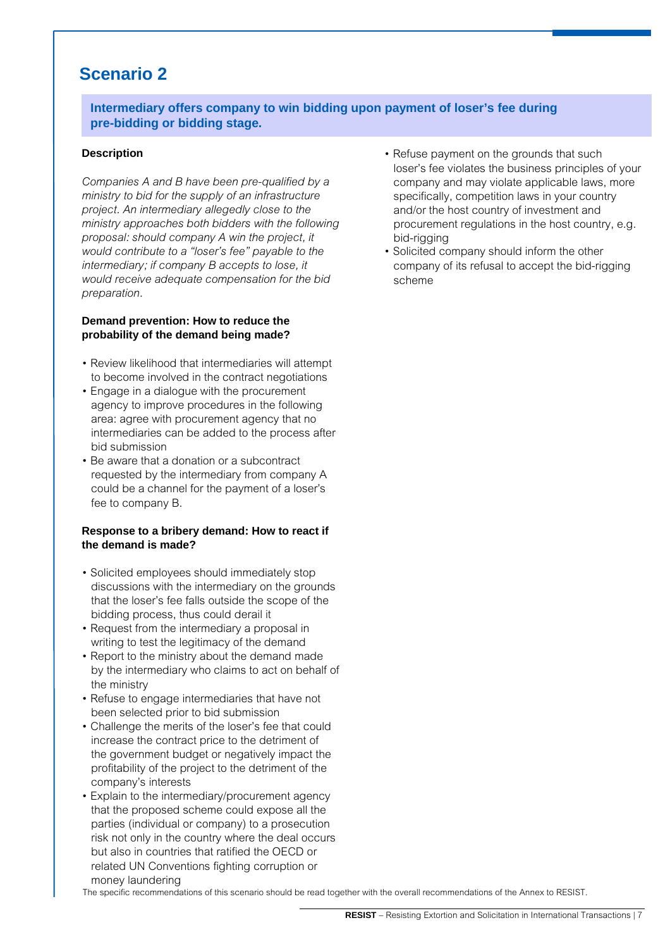**Intermediary offers company to win bidding upon payment of loser's fee during pre-bidding or bidding stage.**

#### **Description**

*Companies A and B have been pre-qualified by a ministry to bid for the supply of an infrastructure project. An intermediary allegedly close to the ministry approaches both bidders with the following proposal: should company A win the project, it would contribute to a "loser's fee" payable to the intermediary; if company B accepts to lose, it would receive adequate compensation for the bid preparation.*

#### **Demand prevention: How to reduce the probability of the demand being made?**

- Review likelihood that intermediaries will attempt to become involved in the contract negotiations
- Engage in a dialogue with the procurement agency to improve procedures in the following area: agree with procurement agency that no intermediaries can be added to the process after bid submission
- Be aware that a donation or a subcontract requested by the intermediary from company A could be a channel for the payment of a loser's fee to company B.

#### **Response to a bribery demand: How to react if the demand is made?**

- Solicited employees should immediately stop discussions with the intermediary on the grounds that the loser's fee falls outside the scope of the bidding process, thus could derail it
- Request from the intermediary a proposal in writing to test the legitimacy of the demand
- Report to the ministry about the demand made by the intermediary who claims to act on behalf of the ministry
- Refuse to engage intermediaries that have not been selected prior to bid submission
- Challenge the merits of the loser's fee that could increase the contract price to the detriment of the government budget or negatively impact the profitability of the project to the detriment of the company's interests
- Explain to the intermediary/procurement agency that the proposed scheme could expose all the parties (individual or company) to a prosecution risk not only in the country where the deal occurs but also in countries that ratified the OECD or related UN Conventions fighting corruption or money laundering
- Refuse payment on the grounds that such loser's fee violates the business principles of your company and may violate applicable laws, more specifically, competition laws in your country and/or the host country of investment and procurement regulations in the host country, e.g. bid-rigging
- Solicited company should inform the other company of its refusal to accept the bid-rigging scheme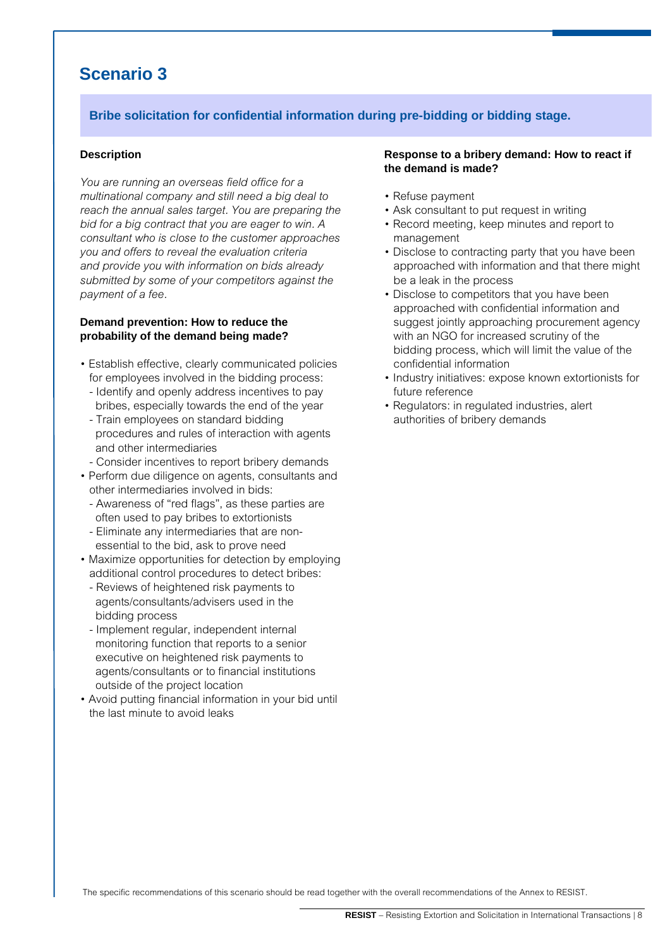### **Bribe solicitation for confidential information during pre-bidding or bidding stage.**

#### **Description**

*You are running an overseas field office for a multinational company and still need a big deal to reach the annual sales target. You are preparing the bid for a big contract that you are eager to win. A consultant who is close to the customer approaches you and offers to reveal the evaluation criteria and provide you with information on bids already submitted by some of your competitors against the payment of a fee.*

#### **Demand prevention: How to reduce the probability of the demand being made?**

- Establish effective, clearly communicated policies for employees involved in the bidding process:
	- Identify and openly address incentives to pay bribes, especially towards the end of the year
	- Train employees on standard bidding procedures and rules of interaction with agents and other intermediaries
	- Consider incentives to report bribery demands
- Perform due diligence on agents, consultants and other intermediaries involved in bids:
	- Awareness of "red flags", as these parties are often used to pay bribes to extortionists
	- Eliminate any intermediaries that are nonessential to the bid, ask to prove need
- Maximize opportunities for detection by employing additional control procedures to detect bribes:
	- Reviews of heightened risk payments to agents/consultants/advisers used in the bidding process
	- Implement regular, independent internal monitoring function that reports to a senior executive on heightened risk payments to agents/consultants or to financial institutions outside of the project location
- Avoid putting financial information in your bid until the last minute to avoid leaks

#### **Response to a bribery demand: How to react if the demand is made?**

- Refuse payment
- Ask consultant to put request in writing
- Record meeting, keep minutes and report to management
- Disclose to contracting party that you have been approached with information and that there might be a leak in the process
- Disclose to competitors that you have been approached with confidential information and suggest jointly approaching procurement agency with an NGO for increased scrutiny of the bidding process, which will limit the value of the confidential information
- Industry initiatives: expose known extortionists for future reference
- Regulators: in regulated industries, alert authorities of bribery demands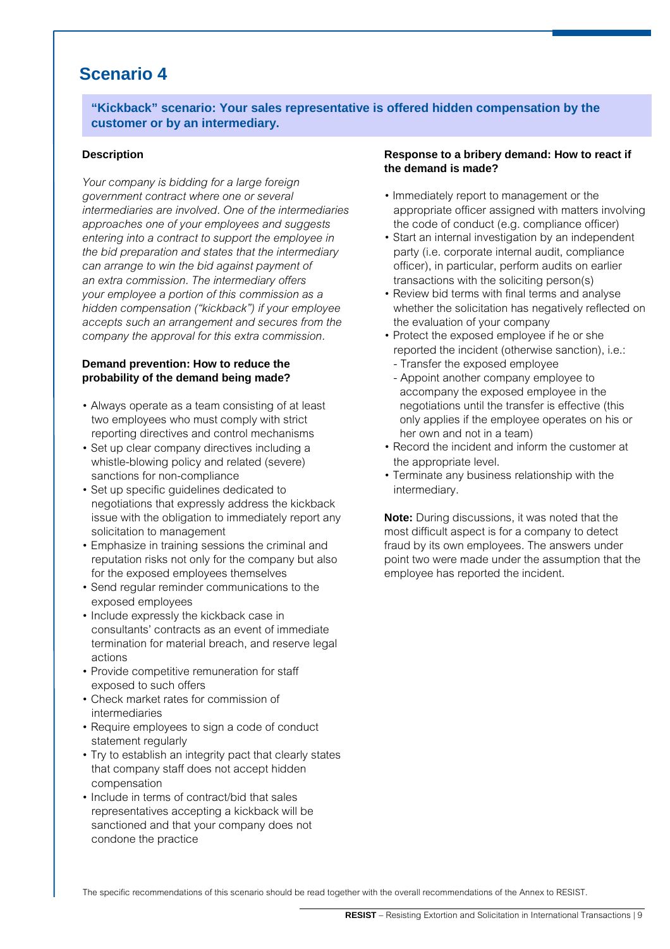**"Kickback" scenario: Your sales representative is offered hidden compensation by the customer or by an intermediary.**

#### **Description**

*Your company is bidding for a large foreign government contract where one or several intermediaries are involved. One of the intermediaries approaches one of your employees and suggests entering into a contract to support the employee in the bid preparation and states that the intermediary can arrange to win the bid against payment of an extra commission. The intermediary offers your employee a portion of this commission as a hidden compensation ("kickback") if your employee accepts such an arrangement and secures from the company the approval for this extra commission.*

#### **Demand prevention: How to reduce the probability of the demand being made?**

- Always operate as a team consisting of at least two employees who must comply with strict reporting directives and control mechanisms
- Set up clear company directives including a whistle-blowing policy and related (severe) sanctions for non-compliance
- Set up specific guidelines dedicated to negotiations that expressly address the kickback issue with the obligation to immediately report any solicitation to management
- Emphasize in training sessions the criminal and reputation risks not only for the company but also for the exposed employees themselves
- Send regular reminder communications to the exposed employees
- Include expressly the kickback case in consultants' contracts as an event of immediate termination for material breach, and reserve legal actions
- Provide competitive remuneration for staff exposed to such offers
- Check market rates for commission of intermediaries
- Require employees to sign a code of conduct statement regularly
- Try to establish an integrity pact that clearly states that company staff does not accept hidden compensation
- Include in terms of contract/bid that sales representatives accepting a kickback will be sanctioned and that your company does not condone the practice

#### **Response to a bribery demand: How to react if the demand is made?**

- Immediately report to management or the appropriate officer assigned with matters involving the code of conduct (e.g. compliance officer)
- Start an internal investigation by an independent party (i.e. corporate internal audit, compliance officer), in particular, perform audits on earlier transactions with the soliciting person(s)
- Review bid terms with final terms and analyse whether the solicitation has negatively reflected on the evaluation of your company
- Protect the exposed employee if he or she reported the incident (otherwise sanction), i.e.:
	- Transfer the exposed employee
- Appoint another company employee to accompany the exposed employee in the negotiations until the transfer is effective (this only applies if the employee operates on his or her own and not in a team)
- Record the incident and inform the customer at the appropriate level.
- Terminate any business relationship with the intermediary.

**Note:** During discussions, it was noted that the most difficult aspect is for a company to detect fraud by its own employees. The answers under point two were made under the assumption that the employee has reported the incident.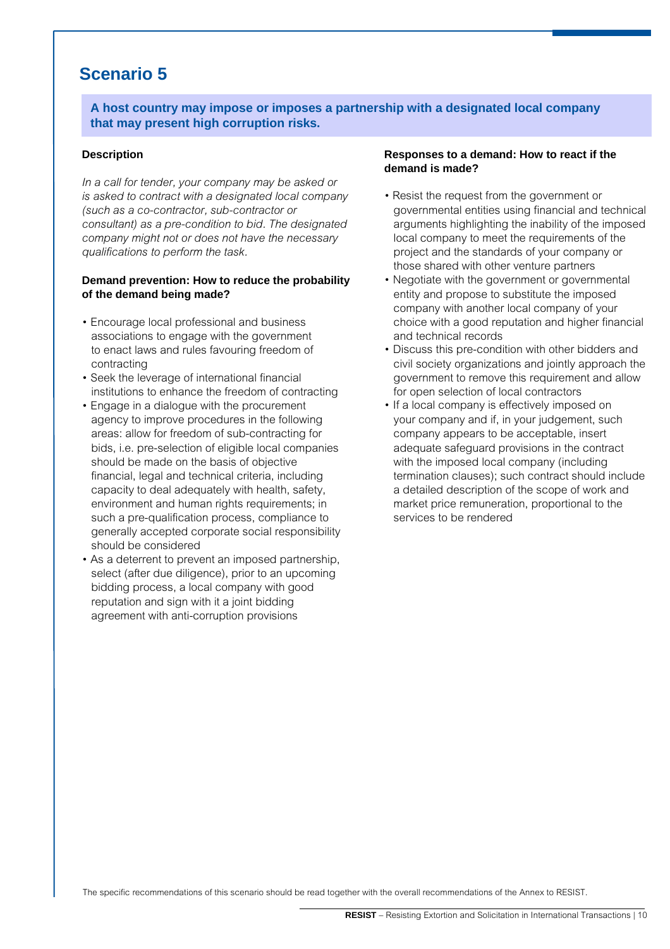### **A host country may impose or imposes a partnership with a designated local company that may present high corruption risks.**

#### **Description**

*In a call for tender, your company may be asked or is asked to contract with a designated local company (such as a co-contractor, sub-contractor or consultant) as a pre-condition to bid. The designated company might not or does not have the necessary qualifications to perform the task.*

#### **Demand prevention: How to reduce the probability of the demand being made?**

- Encourage local professional and business associations to engage with the government to enact laws and rules favouring freedom of contracting
- Seek the leverage of international financial institutions to enhance the freedom of contracting
- Engage in a dialogue with the procurement agency to improve procedures in the following areas: allow for freedom of sub-contracting for bids, i.e. pre-selection of eligible local companies should be made on the basis of objective financial, legal and technical criteria, including capacity to deal adequately with health, safety, environment and human rights requirements; in such a pre-qualification process, compliance to generally accepted corporate social responsibility should be considered
- As a deterrent to prevent an imposed partnership, select (after due diligence), prior to an upcoming bidding process, a local company with good reputation and sign with it a joint bidding agreement with anti-corruption provisions

#### **Responses to a demand: How to react if the demand is made?**

- Resist the request from the government or governmental entities using financial and technical arguments highlighting the inability of the imposed local company to meet the requirements of the project and the standards of your company or those shared with other venture partners
- Negotiate with the government or governmental entity and propose to substitute the imposed company with another local company of your choice with a good reputation and higher financial and technical records
- Discuss this pre-condition with other bidders and civil society organizations and jointly approach the government to remove this requirement and allow for open selection of local contractors
- If a local company is effectively imposed on your company and if, in your judgement, such company appears to be acceptable, insert adequate safeguard provisions in the contract with the imposed local company (including termination clauses); such contract should include a detailed description of the scope of work and market price remuneration, proportional to the services to be rendered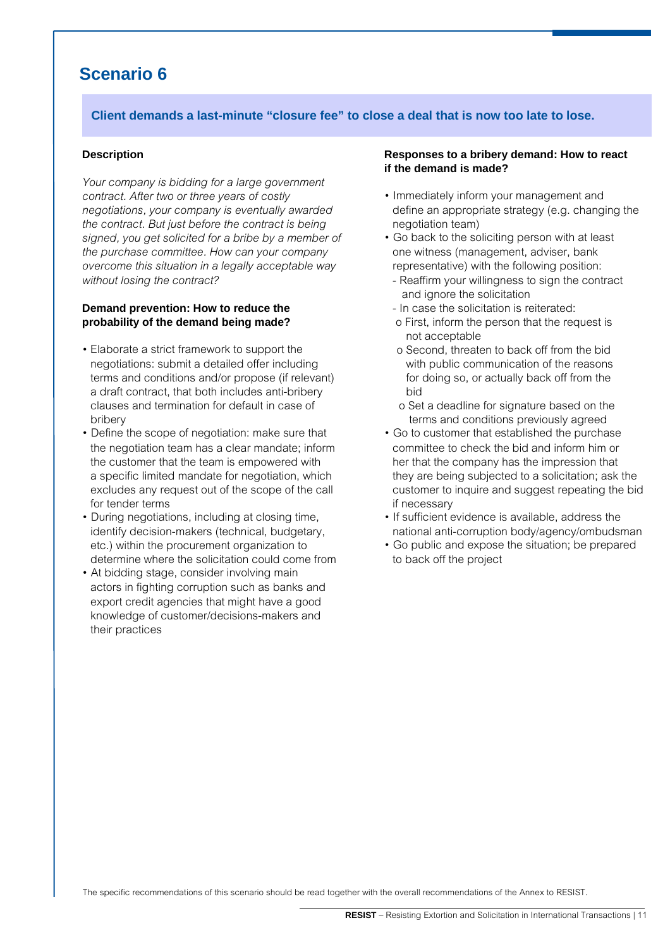### **Client demands a last-minute "closure fee" to close a deal that is now too late to lose.**

#### **Description**

*Your company is bidding for a large government contract. After two or three years of costly negotiations, your company is eventually awarded the contract. But just before the contract is being signed, you get solicited for a bribe by a member of the purchase committee. How can your company overcome this situation in a legally acceptable way without losing the contract?*

#### **Demand prevention: How to reduce the probability of the demand being made?**

- Elaborate a strict framework to support the negotiations: submit a detailed offer including terms and conditions and/or propose (if relevant) a draft contract, that both includes anti-bribery clauses and termination for default in case of bribery
- Define the scope of negotiation: make sure that the negotiation team has a clear mandate; inform the customer that the team is empowered with a specific limited mandate for negotiation, which excludes any request out of the scope of the call for tender terms
- During negotiations, including at closing time, identify decision-makers (technical, budgetary, etc.) within the procurement organization to determine where the solicitation could come from
- At bidding stage, consider involving main actors in fighting corruption such as banks and export credit agencies that might have a good knowledge of customer/decisions-makers and their practices

#### **Responses to a bribery demand: How to react if the demand is made?**

- Immediately inform your management and define an appropriate strategy (e.g. changing the negotiation team)
- Go back to the soliciting person with at least one witness (management, adviser, bank representative) with the following position:
	- Reaffirm your willingness to sign the contract and ignore the solicitation
	- In case the solicitation is reiterated:
	- o First, inform the person that the request is not acceptable
	- o Second, threaten to back off from the bid with public communication of the reasons for doing so, or actually back off from the bid
	- o Set a deadline for signature based on the terms and conditions previously agreed
- Go to customer that established the purchase committee to check the bid and inform him or her that the company has the impression that they are being subjected to a solicitation; ask the customer to inquire and suggest repeating the bid if necessary
- If sufficient evidence is available, address the national anti-corruption body/agency/ombudsman
- Go public and expose the situation; be prepared to back off the project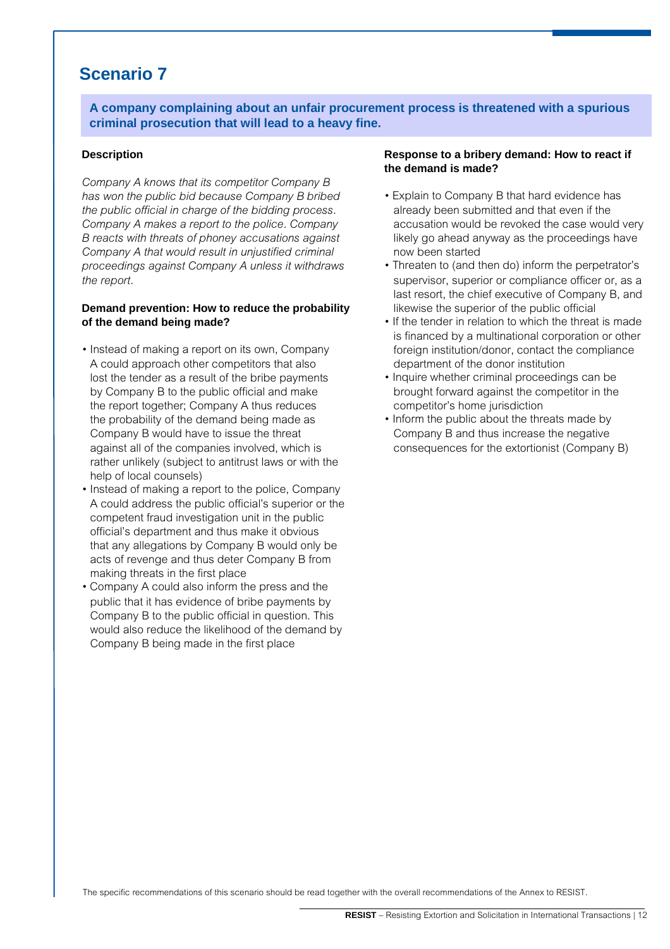**A company complaining about an unfair procurement process is threatened with a spurious criminal prosecution that will lead to a heavy fine.**

#### **Description**

*Company A knows that its competitor Company B has won the public bid because Company B bribed the public official in charge of the bidding process. Company A makes a report to the police. Company B reacts with threats of phoney accusations against Company A that would result in unjustified criminal proceedings against Company A unless it withdraws the report.*

#### **Demand prevention: How to reduce the probability of the demand being made?**

- Instead of making a report on its own, Company A could approach other competitors that also lost the tender as a result of the bribe payments by Company B to the public official and make the report together; Company A thus reduces the probability of the demand being made as Company B would have to issue the threat against all of the companies involved, which is rather unlikely (subject to antitrust laws or with the help of local counsels)
- Instead of making a report to the police, Company A could address the public official's superior or the competent fraud investigation unit in the public official's department and thus make it obvious that any allegations by Company B would only be acts of revenge and thus deter Company B from making threats in the first place
- Company A could also inform the press and the public that it has evidence of bribe payments by Company B to the public official in question. This would also reduce the likelihood of the demand by Company B being made in the first place

#### **Response to a bribery demand: How to react if the demand is made?**

- Explain to Company B that hard evidence has already been submitted and that even if the accusation would be revoked the case would very likely go ahead anyway as the proceedings have now been started
- Threaten to (and then do) inform the perpetrator's supervisor, superior or compliance officer or, as a last resort, the chief executive of Company B, and likewise the superior of the public official
- If the tender in relation to which the threat is made is financed by a multinational corporation or other foreign institution/donor, contact the compliance department of the donor institution
- Inquire whether criminal proceedings can be brought forward against the competitor in the competitor's home jurisdiction
- Inform the public about the threats made by Company B and thus increase the negative consequences for the extortionist (Company B)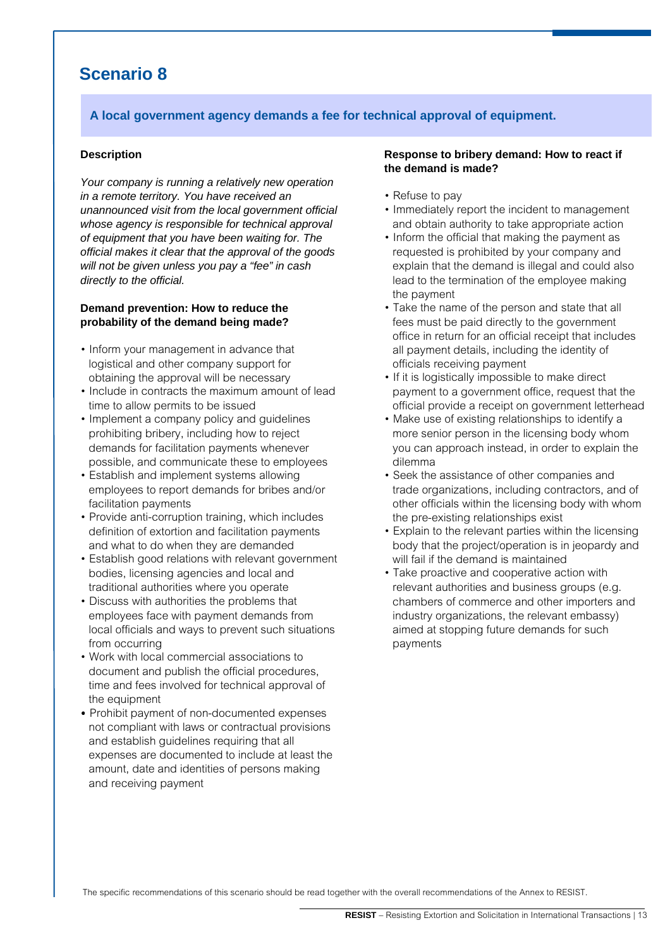### **A local government agency demands a fee for technical approval of equipment.**

#### **Description**

Your company is running a relatively new operation in a remote territory. You have received an unannounced visit from the local government official whose agency is responsible for technical approval of equipment that you have been waiting for. The official makes it clear that the approval of the goods will not be given unless you pay a "fee" in cash directly to the official.

#### **Demand prevention: How to reduce the probability of the demand being made?**

- Inform your management in advance that logistical and other company support for obtaining the approval will be necessary
- Include in contracts the maximum amount of lead time to allow permits to be issued
- Implement a company policy and guidelines prohibiting bribery, including how to reject demands for facilitation payments whenever possible, and communicate these to employees
- Establish and implement systems allowing employees to report demands for bribes and/or facilitation payments
- Provide anti-corruption training, which includes definition of extortion and facilitation payments and what to do when they are demanded
- Establish good relations with relevant government bodies, licensing agencies and local and traditional authorities where you operate
- Discuss with authorities the problems that employees face with payment demands from local officials and ways to prevent such situations from occurring
- Work with local commercial associations to document and publish the official procedures, time and fees involved for technical approval of the equipment
- Prohibit payment of non-documented expenses not compliant with laws or contractual provisions and establish guidelines requiring that all expenses are documented to include at least the amount, date and identities of persons making and receiving payment

#### **Response to bribery demand: How to react if the demand is made?**

- Refuse to pay
- Immediately report the incident to management and obtain authority to take appropriate action
- Inform the official that making the payment as requested is prohibited by your company and explain that the demand is illegal and could also lead to the termination of the employee making the payment
- Take the name of the person and state that all fees must be paid directly to the government office in return for an official receipt that includes all payment details, including the identity of officials receiving payment
- If it is logistically impossible to make direct payment to a government office, request that the official provide a receipt on government letterhead
- Make use of existing relationships to identify a more senior person in the licensing body whom you can approach instead, in order to explain the dilemma
- Seek the assistance of other companies and trade organizations, including contractors, and of other officials within the licensing body with whom the pre-existing relationships exist
- Explain to the relevant parties within the licensing body that the project/operation is in jeopardy and will fail if the demand is maintained
- Take proactive and cooperative action with relevant authorities and business groups (e.g. chambers of commerce and other importers and industry organizations, the relevant embassy) aimed at stopping future demands for such payments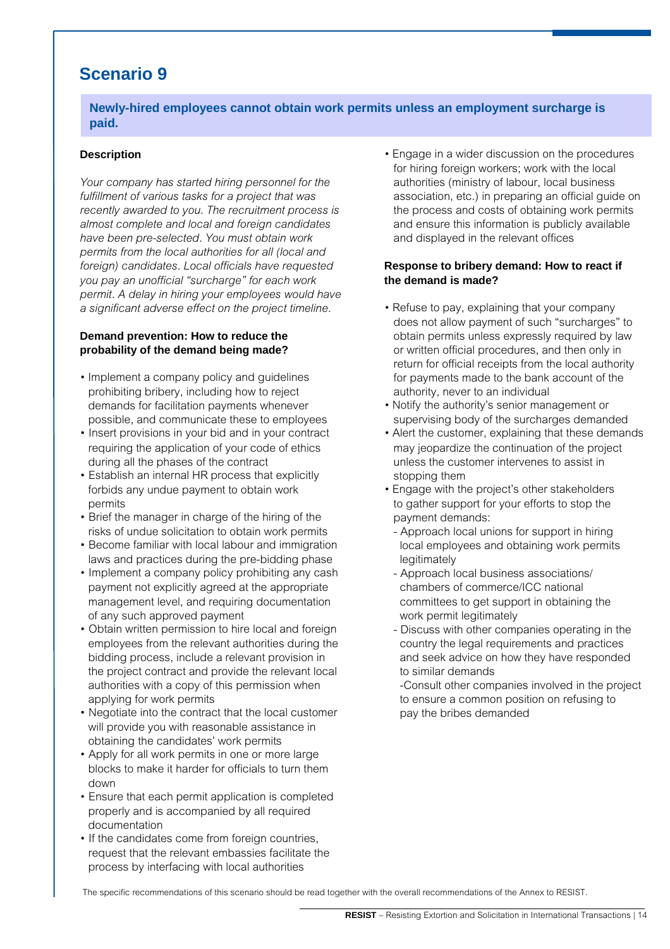**Newly-hired employees cannot obtain work permits unless an employment surcharge is paid.**

#### **Description**

*Your company has started hiring personnel for the fulfillment of various tasks for a project that was recently awarded to you. The recruitment process is almost complete and local and foreign candidates have been pre-selected. You must obtain work permits from the local authorities for all (local and foreign) candidates. Local officials have requested you pay an unofficial "surcharge" for each work permit. A delay in hiring your employees would have a significant adverse effect on the project timeline.*

#### **Demand prevention: How to reduce the probability of the demand being made?**

- Implement a company policy and guidelines prohibiting bribery, including how to reject demands for facilitation payments whenever possible, and communicate these to employees
- Insert provisions in your bid and in your contract requiring the application of your code of ethics during all the phases of the contract
- Establish an internal HR process that explicitly forbids any undue payment to obtain work permits
- Brief the manager in charge of the hiring of the risks of undue solicitation to obtain work permits
- Become familiar with local labour and immigration laws and practices during the pre-bidding phase
- Implement a company policy prohibiting any cash payment not explicitly agreed at the appropriate management level, and requiring documentation of any such approved payment
- Obtain written permission to hire local and foreign employees from the relevant authorities during the bidding process, include a relevant provision in the project contract and provide the relevant local authorities with a copy of this permission when applying for work permits
- Negotiate into the contract that the local customer will provide you with reasonable assistance in obtaining the candidates' work permits
- Apply for all work permits in one or more large blocks to make it harder for officials to turn them down
- Ensure that each permit application is completed properly and is accompanied by all required documentation
- If the candidates come from foreign countries, request that the relevant embassies facilitate the process by interfacing with local authorities

• Engage in a wider discussion on the procedures for hiring foreign workers; work with the local authorities (ministry of labour, local business association, etc.) in preparing an official guide on the process and costs of obtaining work permits and ensure this information is publicly available and displayed in the relevant offices

#### **Response to bribery demand: How to react if the demand is made?**

- Refuse to pay, explaining that your company does not allow payment of such "surcharges" to obtain permits unless expressly required by law or written official procedures, and then only in return for official receipts from the local authority for payments made to the bank account of the authority, never to an individual
- Notify the authority's senior management or supervising body of the surcharges demanded
- Alert the customer, explaining that these demands may jeopardize the continuation of the project unless the customer intervenes to assist in stopping them
- Engage with the project's other stakeholders to gather support for your efforts to stop the payment demands:
	- Approach local unions for support in hiring local employees and obtaining work permits legitimately
	- Approach local business associations/ chambers of commerce/ICC national committees to get support in obtaining the work permit legitimately
	- Discuss with other companies operating in the country the legal requirements and practices and seek advice on how they have responded to similar demands
	- -Consult other companies involved in the project to ensure a common position on refusing to pay the bribes demanded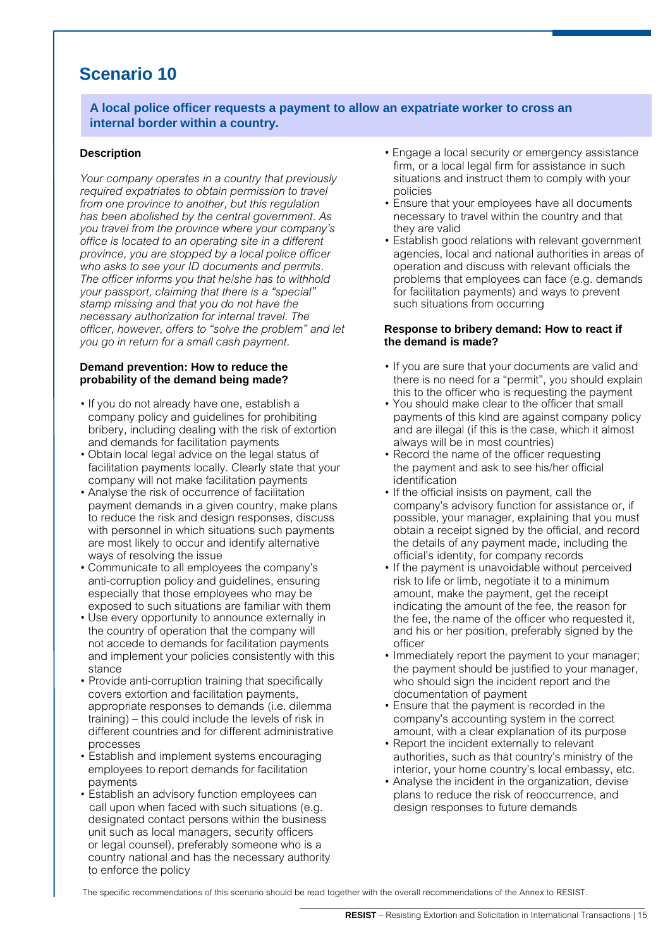### **A local police officer requests a payment to allow an expatriate worker to cross an internal border within a country.**

#### **Description**

*Your company operates in a country that previously required expatriates to obtain permission to travel from one province to another, but this regulation has been abolished by the central government. As you travel from the province where your company's office is located to an operating site in a different province, you are stopped by a local police officer who asks to see your ID documents and permits. The officer informs you that he/she has to withhold your passport, claiming that there is a "special" stamp missing and that you do not have the necessary authorization for internal travel. The officer, however, offers to "solve the problem" and let you go in return for a small cash payment.* 

#### **Demand prevention: How to reduce the probability of the demand being made?**

- If you do not already have one, establish a company policy and guidelines for prohibiting bribery, including dealing with the risk of extortion and demands for facilitation payments
- Obtain local legal advice on the legal status of facilitation payments locally. Clearly state that your company will not make facilitation payments
- Analyse the risk of occurrence of facilitation payment demands in a given country, make plans to reduce the risk and design responses, discuss with personnel in which situations such payments are most likely to occur and identify alternative ways of resolving the issue
- Communicate to all employees the company's anti-corruption policy and guidelines, ensuring especially that those employees who may be exposed to such situations are familiar with them
- Use every opportunity to announce externally in the country of operation that the company will not accede to demands for facilitation payments and implement your policies consistently with this stance
- Provide anti-corruption training that specifically covers extortion and facilitation payments, appropriate responses to demands (i.e. dilemma training) – this could include the levels of risk in different countries and for different administrative processes
- Establish and implement systems encouraging employees to report demands for facilitation payments
- Establish an advisory function employees can call upon when faced with such situations (e.g. designated contact persons within the business unit such as local managers, security officers or legal counsel), preferably someone who is a country national and has the necessary authority to enforce the policy
- Engage a local security or emergency assistance firm, or a local legal firm for assistance in such situations and instruct them to comply with your policies
- Ensure that your employees have all documents necessary to travel within the country and that they are valid
- Establish good relations with relevant government agencies, local and national authorities in areas of operation and discuss with relevant officials the problems that employees can face (e.g. demands for facilitation payments) and ways to prevent such situations from occurring

#### **Response to bribery demand: How to react if the demand is made?**

- If you are sure that your documents are valid and there is no need for a "permit", you should explain this to the officer who is requesting the payment
- You should make clear to the officer that small payments of this kind are against company policy and are illegal (if this is the case, which it almost always will be in most countries)
- Record the name of the officer requesting the payment and ask to see his/her official identification
- If the official insists on payment, call the company's advisory function for assistance or, if possible, your manager, explaining that you must obtain a receipt signed by the official, and record the details of any payment made, including the official's identity, for company records
- If the payment is unavoidable without perceived risk to life or limb, negotiate it to a minimum amount, make the payment, get the receipt indicating the amount of the fee, the reason for the fee, the name of the officer who requested it, and his or her position, preferably signed by the officer
- Immediately report the payment to your manager; the payment should be justified to your manager, who should sign the incident report and the documentation of payment
- Ensure that the payment is recorded in the company's accounting system in the correct amount, with a clear explanation of its purpose
- Report the incident externally to relevant authorities, such as that country's ministry of the interior, your home country's local embassy, etc.
- Analyse the incident in the organization, devise plans to reduce the risk of reoccurrence, and design responses to future demands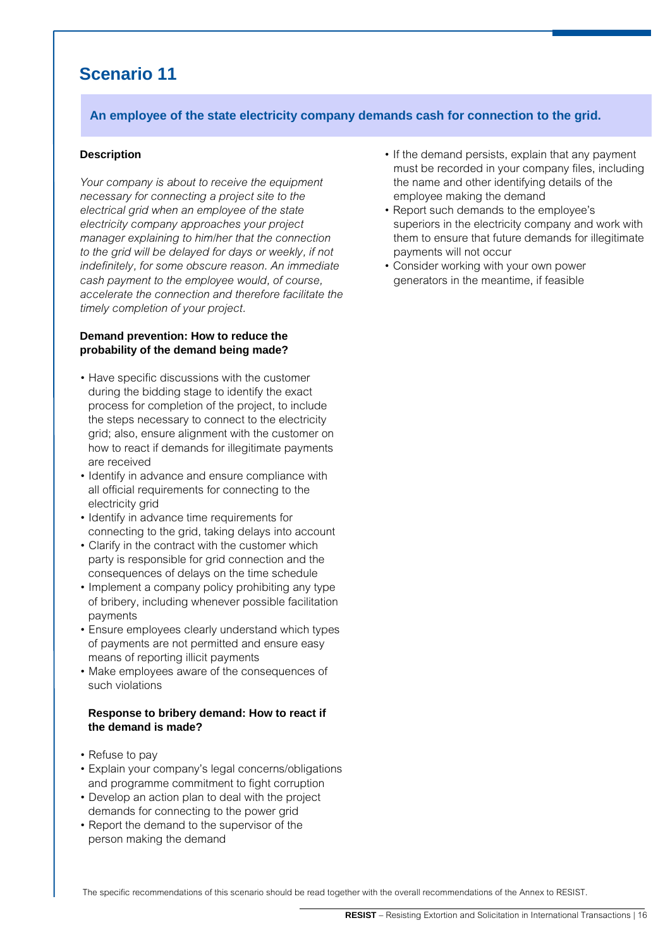### **An employee of the state electricity company demands cash for connection to the grid.**

#### **Description**

*Your company is about to receive the equipment necessary for connecting a project site to the electrical grid when an employee of the state electricity company approaches your project manager explaining to him/her that the connection to the grid will be delayed for days or weekly, if not indefinitely, for some obscure reason. An immediate cash payment to the employee would, of course, accelerate the connection and therefore facilitate the timely completion of your project.*

#### **Demand prevention: How to reduce the probability of the demand being made?**

- Have specific discussions with the customer during the bidding stage to identify the exact process for completion of the project, to include the steps necessary to connect to the electricity grid; also, ensure alignment with the customer on how to react if demands for illegitimate payments are received
- Identify in advance and ensure compliance with all official requirements for connecting to the electricity grid
- Identify in advance time requirements for connecting to the grid, taking delays into account
- Clarify in the contract with the customer which party is responsible for grid connection and the consequences of delays on the time schedule
- Implement a company policy prohibiting any type of bribery, including whenever possible facilitation payments
- Ensure employees clearly understand which types of payments are not permitted and ensure easy means of reporting illicit payments
- Make employees aware of the consequences of such violations

#### **Response to bribery demand: How to react if the demand is made?**

- Refuse to pay
- Explain your company's legal concerns/obligations and programme commitment to fight corruption
- Develop an action plan to deal with the project demands for connecting to the power grid
- Report the demand to the supervisor of the person making the demand
- If the demand persists, explain that any payment must be recorded in your company files, including the name and other identifying details of the employee making the demand
- Report such demands to the employee's superiors in the electricity company and work with them to ensure that future demands for illegitimate payments will not occur
- Consider working with your own power generators in the meantime, if feasible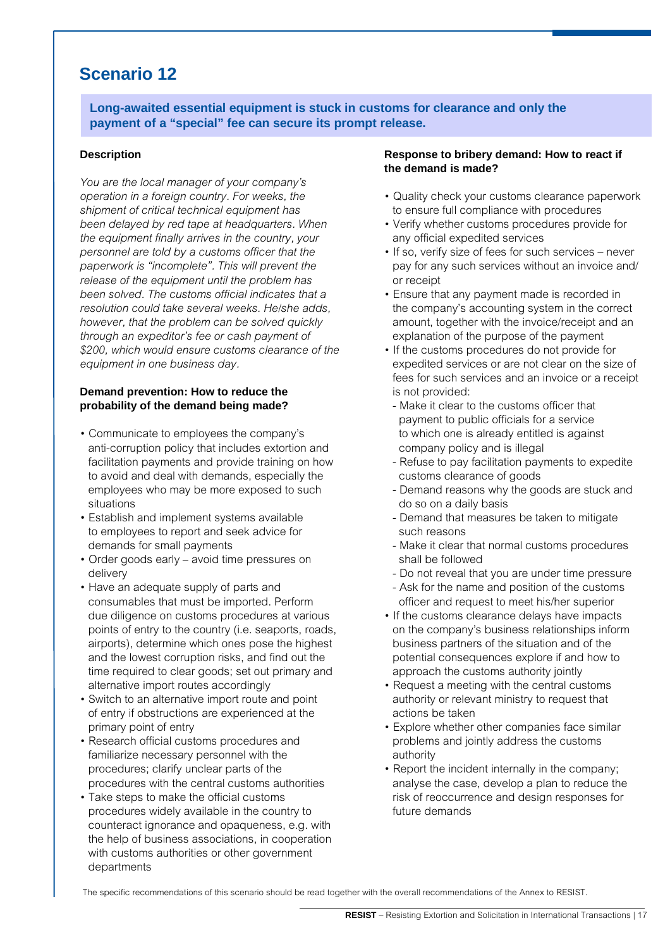**Long-awaited essential equipment is stuck in customs for clearance and only the payment of a "special" fee can secure its prompt release.**

#### **Description**

*You are the local manager of your company's operation in a foreign country. For weeks, the shipment of critical technical equipment has been delayed by red tape at headquarters. When the equipment finally arrives in the country, your personnel are told by a customs officer that the paperwork is "incomplete". This will prevent the release of the equipment until the problem has been solved. The customs official indicates that a resolution could take several weeks. He/she adds, however, that the problem can be solved quickly through an expeditor's fee or cash payment of \$200, which would ensure customs clearance of the equipment in one business day.*

#### **Demand prevention: How to reduce the probability of the demand being made?**

- Communicate to employees the company's anti-corruption policy that includes extortion and facilitation payments and provide training on how to avoid and deal with demands, especially the employees who may be more exposed to such situations
- Establish and implement systems available to employees to report and seek advice for demands for small payments
- Order goods early avoid time pressures on delivery
- Have an adequate supply of parts and consumables that must be imported. Perform due diligence on customs procedures at various points of entry to the country (i.e. seaports, roads, airports), determine which ones pose the highest and the lowest corruption risks, and find out the time required to clear goods; set out primary and alternative import routes accordingly
- Switch to an alternative import route and point of entry if obstructions are experienced at the primary point of entry
- Research official customs procedures and familiarize necessary personnel with the procedures; clarify unclear parts of the procedures with the central customs authorities
- Take steps to make the official customs procedures widely available in the country to counteract ignorance and opaqueness, e.g. with the help of business associations, in cooperation with customs authorities or other government departments

#### **Response to bribery demand: How to react if the demand is made?**

- Quality check your customs clearance paperwork to ensure full compliance with procedures
- Verify whether customs procedures provide for any official expedited services
- If so, verify size of fees for such services never pay for any such services without an invoice and/ or receipt
- Ensure that any payment made is recorded in the company's accounting system in the correct amount, together with the invoice/receipt and an explanation of the purpose of the payment
- If the customs procedures do not provide for expedited services or are not clear on the size of fees for such services and an invoice or a receipt is not provided:
	- Make it clear to the customs officer that payment to public officials for a service to which one is already entitled is against company policy and is illegal
	- Refuse to pay facilitation payments to expedite customs clearance of goods
	- Demand reasons why the goods are stuck and do so on a daily basis
	- Demand that measures be taken to mitigate such reasons
	- Make it clear that normal customs procedures shall be followed
	- Do not reveal that you are under time pressure
	- Ask for the name and position of the customs officer and request to meet his/her superior
- If the customs clearance delays have impacts on the company's business relationships inform business partners of the situation and of the potential consequences explore if and how to approach the customs authority jointly
- Request a meeting with the central customs authority or relevant ministry to request that actions be taken
- Explore whether other companies face similar problems and jointly address the customs authority
- Report the incident internally in the company; analyse the case, develop a plan to reduce the risk of reoccurrence and design responses for future demands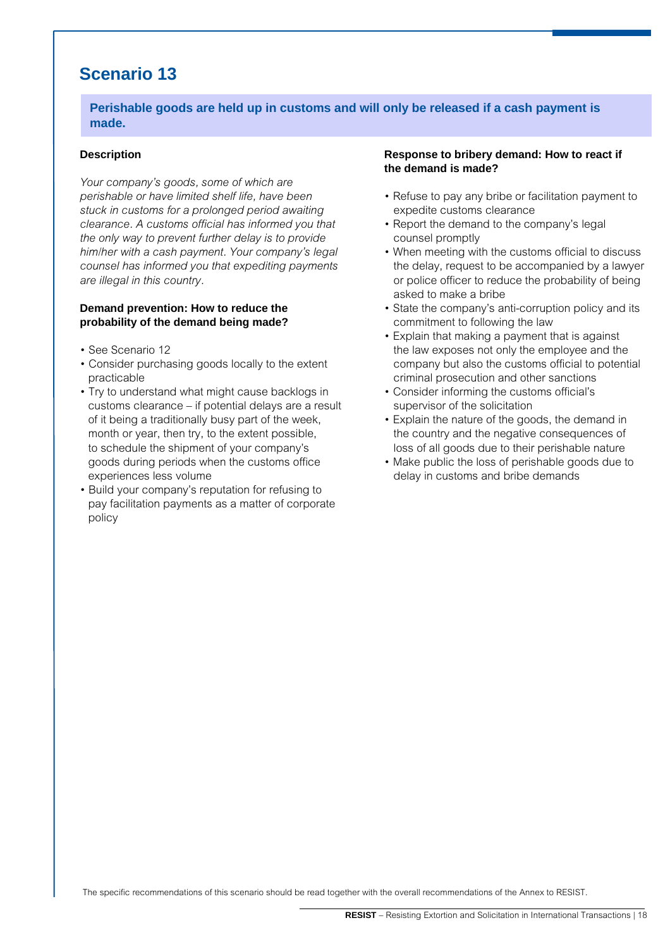**Perishable goods are held up in customs and will only be released if a cash payment is made.**

#### **Description**

*Your company's goods, some of which are perishable or have limited shelf life, have been stuck in customs for a prolonged period awaiting clearance. A customs official has informed you that the only way to prevent further delay is to provide him/her with a cash payment. Your company's legal counsel has informed you that expediting payments are illegal in this country.*

#### **Demand prevention: How to reduce the probability of the demand being made?**

- See Scenario 12
- Consider purchasing goods locally to the extent practicable
- Try to understand what might cause backlogs in customs clearance – if potential delays are a result of it being a traditionally busy part of the week, month or year, then try, to the extent possible, to schedule the shipment of your company's goods during periods when the customs office experiences less volume
- Build your company's reputation for refusing to pay facilitation payments as a matter of corporate policy

#### **Response to bribery demand: How to react if the demand is made?**

- Refuse to pay any bribe or facilitation payment to expedite customs clearance
- Report the demand to the company's legal counsel promptly
- When meeting with the customs official to discuss the delay, request to be accompanied by a lawyer or police officer to reduce the probability of being asked to make a bribe
- State the company's anti-corruption policy and its commitment to following the law
- Explain that making a payment that is against the law exposes not only the employee and the company but also the customs official to potential criminal prosecution and other sanctions
- Consider informing the customs official's supervisor of the solicitation
- Explain the nature of the goods, the demand in the country and the negative consequences of loss of all goods due to their perishable nature
- Make public the loss of perishable goods due to delay in customs and bribe demands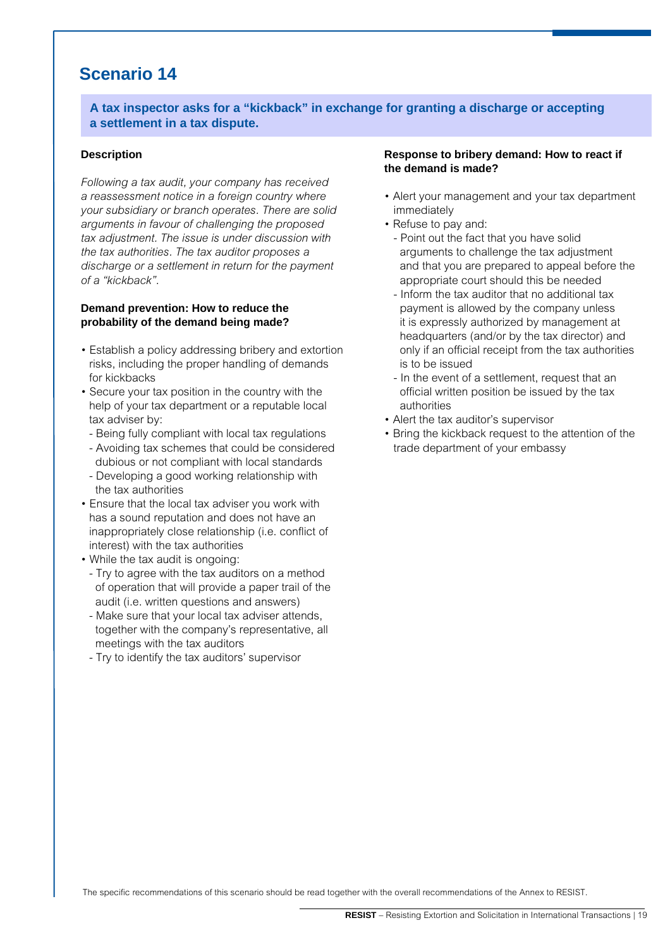### **A tax inspector asks for a "kickback" in exchange for granting a discharge or accepting a settlement in a tax dispute.**

#### **Description**

*Following a tax audit, your company has received a reassessment notice in a foreign country where your subsidiary or branch operates. There are solid arguments in favour of challenging the proposed tax adjustment. The issue is under discussion with the tax authorities. The tax auditor proposes a discharge or a settlement in return for the payment of a "kickback".*

#### **Demand prevention: How to reduce the probability of the demand being made?**

- Establish a policy addressing bribery and extortion risks, including the proper handling of demands for kickbacks
- Secure your tax position in the country with the help of your tax department or a reputable local tax adviser by:
- Being fully compliant with local tax regulations
- Avoiding tax schemes that could be considered dubious or not compliant with local standards
- Developing a good working relationship with the tax authorities
- Ensure that the local tax adviser you work with has a sound reputation and does not have an inappropriately close relationship (i.e. conflict of interest) with the tax authorities
- While the tax audit is ongoing:
	- Try to agree with the tax auditors on a method of operation that will provide a paper trail of the audit (i.e. written questions and answers)
	- Make sure that your local tax adviser attends, together with the company's representative, all meetings with the tax auditors
- Try to identify the tax auditors' supervisor

#### **Response to bribery demand: How to react if the demand is made?**

- Alert your management and your tax department immediately
- Refuse to pay and:
- Point out the fact that you have solid arguments to challenge the tax adjustment and that you are prepared to appeal before the appropriate court should this be needed
- Inform the tax auditor that no additional tax payment is allowed by the company unless it is expressly authorized by management at headquarters (and/or by the tax director) and only if an official receipt from the tax authorities is to be issued
- In the event of a settlement, request that an official written position be issued by the tax authorities
- Alert the tax auditor's supervisor
- Bring the kickback request to the attention of the trade department of your embassy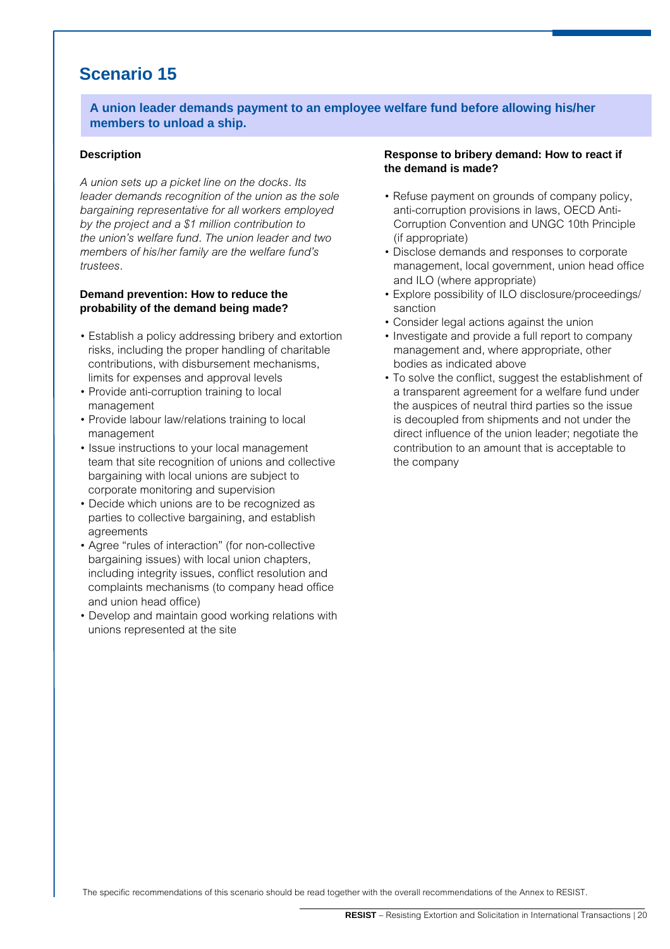**A union leader demands payment to an employee welfare fund before allowing his/her members to unload a ship.**

#### **Description**

*A union sets up a picket line on the docks. Its leader demands recognition of the union as the sole bargaining representative for all workers employed by the project and a \$1 million contribution to the union's welfare fund. The union leader and two members of his/her family are the welfare fund's trustees.*

#### **Demand prevention: How to reduce the probability of the demand being made?**

- Establish a policy addressing bribery and extortion risks, including the proper handling of charitable contributions, with disbursement mechanisms, limits for expenses and approval levels
- Provide anti-corruption training to local management
- Provide labour law/relations training to local management
- Issue instructions to your local management team that site recognition of unions and collective bargaining with local unions are subject to corporate monitoring and supervision
- Decide which unions are to be recognized as parties to collective bargaining, and establish agreements
- Agree "rules of interaction" (for non-collective bargaining issues) with local union chapters, including integrity issues, conflict resolution and complaints mechanisms (to company head office and union head office)
- Develop and maintain good working relations with unions represented at the site

#### **Response to bribery demand: How to react if the demand is made?**

- Refuse payment on grounds of company policy, anti-corruption provisions in laws, OECD Anti-Corruption Convention and UNGC 10th Principle (if appropriate)
- Disclose demands and responses to corporate management, local government, union head office and ILO (where appropriate)
- Explore possibility of ILO disclosure/proceedings/ sanction
- Consider legal actions against the union
- Investigate and provide a full report to company management and, where appropriate, other bodies as indicated above
- To solve the conflict, suggest the establishment of a transparent agreement for a welfare fund under the auspices of neutral third parties so the issue is decoupled from shipments and not under the direct influence of the union leader; negotiate the contribution to an amount that is acceptable to the company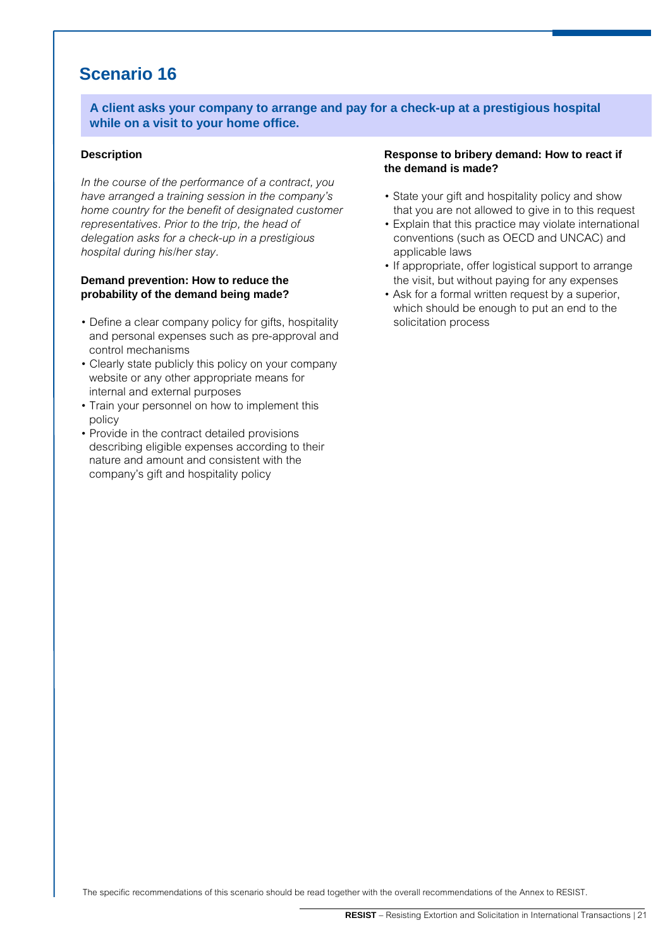### **A client asks your company to arrange and pay for a check-up at a prestigious hospital while on a visit to your home office.**

#### **Description**

*In the course of the performance of a contract, you have arranged a training session in the company's home country for the benefit of designated customer representatives. Prior to the trip, the head of delegation asks for a check-up in a prestigious hospital during his/her stay.*

#### **Demand prevention: How to reduce the probability of the demand being made?**

- Define a clear company policy for gifts, hospitality and personal expenses such as pre-approval and control mechanisms
- Clearly state publicly this policy on your company website or any other appropriate means for internal and external purposes
- Train your personnel on how to implement this policy
- Provide in the contract detailed provisions describing eligible expenses according to their nature and amount and consistent with the company's gift and hospitality policy

#### **Response to bribery demand: How to react if the demand is made?**

- State your gift and hospitality policy and show that you are not allowed to give in to this request
- Explain that this practice may violate international conventions (such as OECD and UNCAC) and applicable laws
- If appropriate, offer logistical support to arrange the visit, but without paying for any expenses
- Ask for a formal written request by a superior, which should be enough to put an end to the solicitation process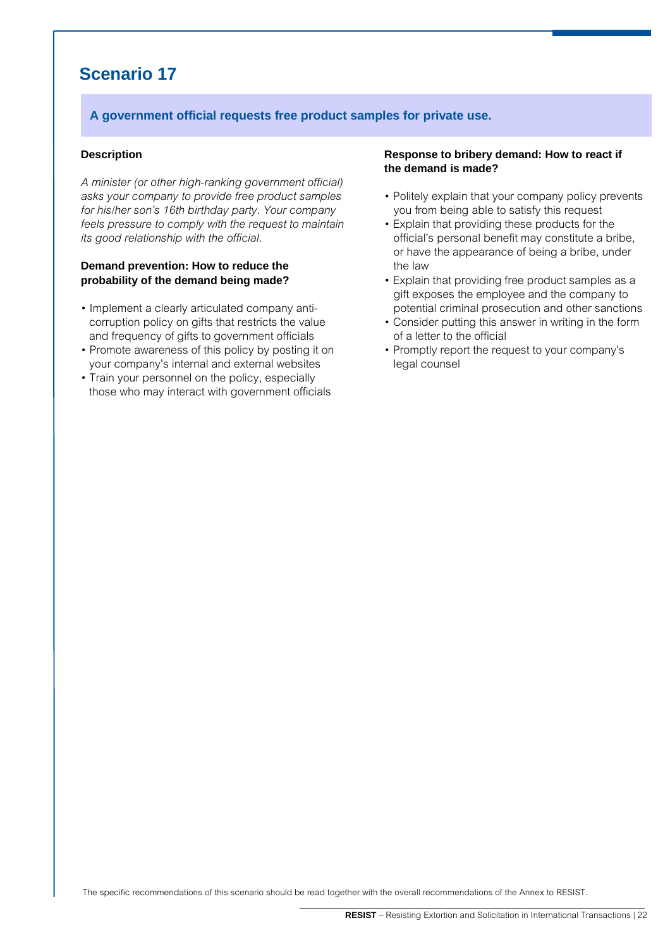### **A government official requests free product samples for private use.**

#### **Description**

*A minister (or other high-ranking government official) asks your company to provide free product samples for his/her son's 16th birthday party. Your company feels pressure to comply with the request to maintain its good relationship with the official.*

#### **Demand prevention: How to reduce the probability of the demand being made?**

- Implement a clearly articulated company anticorruption policy on gifts that restricts the value and frequency of gifts to government officials
- Promote awareness of this policy by posting it on your company's internal and external websites
- Train your personnel on the policy, especially those who may interact with government officials

#### **Response to bribery demand: How to react if the demand is made?**

- Politely explain that your company policy prevents you from being able to satisfy this request
- Explain that providing these products for the official's personal benefit may constitute a bribe, or have the appearance of being a bribe, under the law
- Explain that providing free product samples as a gift exposes the employee and the company to potential criminal prosecution and other sanctions
- Consider putting this answer in writing in the form of a letter to the official
- Promptly report the request to your company's legal counsel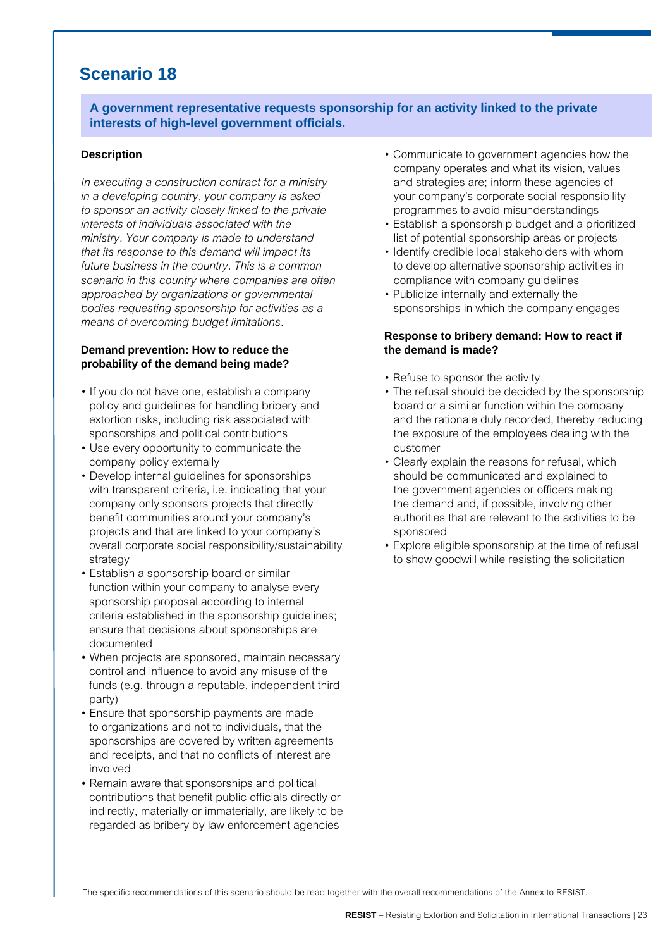### **A government representative requests sponsorship for an activity linked to the private interests of high-level government officials.**

#### **Description**

*In executing a construction contract for a ministry in a developing country, your company is asked to sponsor an activity closely linked to the private interests of individuals associated with the ministry. Your company is made to understand that its response to this demand will impact its future business in the country. This is a common scenario in this country where companies are often approached by organizations or governmental bodies requesting sponsorship for activities as a means of overcoming budget limitations.*

#### **Demand prevention: How to reduce the probability of the demand being made?**

- If you do not have one, establish a company policy and guidelines for handling bribery and extortion risks, including risk associated with sponsorships and political contributions
- Use every opportunity to communicate the company policy externally
- Develop internal guidelines for sponsorships with transparent criteria, i.e. indicating that your company only sponsors projects that directly benefit communities around your company's projects and that are linked to your company's overall corporate social responsibility/sustainability strategy
- Establish a sponsorship board or similar function within your company to analyse every sponsorship proposal according to internal criteria established in the sponsorship guidelines; ensure that decisions about sponsorships are documented
- When projects are sponsored, maintain necessary control and influence to avoid any misuse of the funds (e.g. through a reputable, independent third party)
- Ensure that sponsorship payments are made to organizations and not to individuals, that the sponsorships are covered by written agreements and receipts, and that no conflicts of interest are involved
- Remain aware that sponsorships and political contributions that benefit public officials directly or indirectly, materially or immaterially, are likely to be regarded as bribery by law enforcement agencies
- Communicate to government agencies how the company operates and what its vision, values and strategies are; inform these agencies of your company's corporate social responsibility programmes to avoid misunderstandings
- Establish a sponsorship budget and a prioritized list of potential sponsorship areas or projects
- Identify credible local stakeholders with whom to develop alternative sponsorship activities in compliance with company guidelines
- Publicize internally and externally the sponsorships in which the company engages

#### **Response to bribery demand: How to react if the demand is made?**

- Refuse to sponsor the activity
- The refusal should be decided by the sponsorship board or a similar function within the company and the rationale duly recorded, thereby reducing the exposure of the employees dealing with the customer
- Clearly explain the reasons for refusal, which should be communicated and explained to the government agencies or officers making the demand and, if possible, involving other authorities that are relevant to the activities to be sponsored
- Explore eligible sponsorship at the time of refusal to show goodwill while resisting the solicitation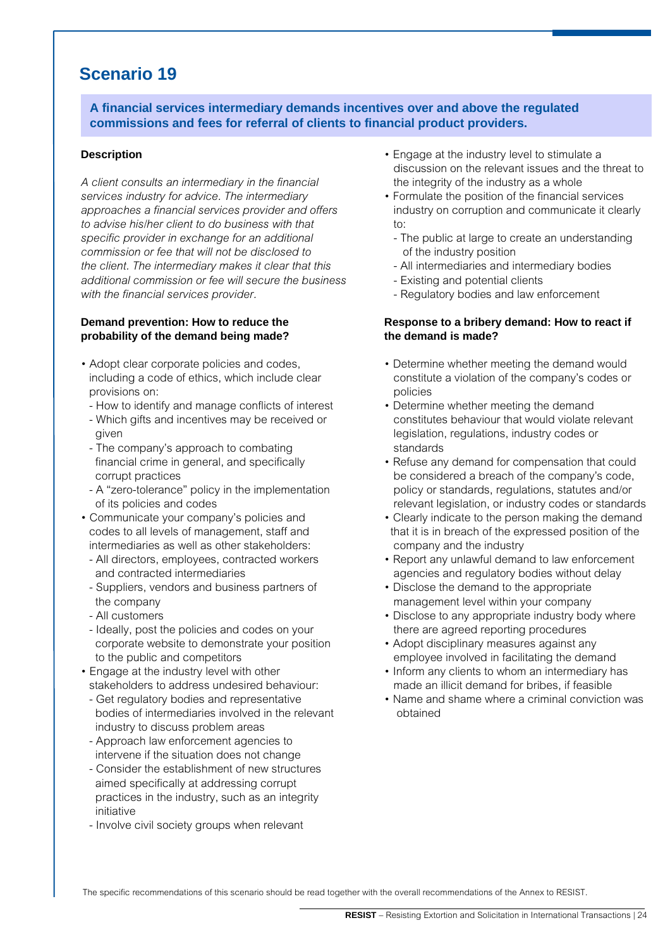**A financial services intermediary demands incentives over and above the regulated commissions and fees for referral of clients to financial product providers.**

#### **Description**

*A client consults an intermediary in the financial services industry for advice. The intermediary approaches a financial services provider and offers to advise his/her client to do business with that specific provider in exchange for an additional commission or fee that will not be disclosed to the client. The intermediary makes it clear that this additional commission or fee will secure the business with the financial services provider.*

#### **Demand prevention: How to reduce the probability of the demand being made?**

- Adopt clear corporate policies and codes, including a code of ethics, which include clear provisions on:
	- How to identify and manage conflicts of interest
	- Which gifts and incentives may be received or given
	- The company's approach to combating financial crime in general, and specifically corrupt practices
	- A "zero-tolerance" policy in the implementation of its policies and codes
- Communicate your company's policies and codes to all levels of management, staff and intermediaries as well as other stakeholders:
	- All directors, employees, contracted workers and contracted intermediaries
	- Suppliers, vendors and business partners of the company
	- All customers
- Ideally, post the policies and codes on your corporate website to demonstrate your position to the public and competitors
- Engage at the industry level with other stakeholders to address undesired behaviour:
- Get regulatory bodies and representative bodies of intermediaries involved in the relevant industry to discuss problem areas
- Approach law enforcement agencies to intervene if the situation does not change
- Consider the establishment of new structures aimed specifically at addressing corrupt practices in the industry, such as an integrity initiative
- Involve civil society groups when relevant
- Engage at the industry level to stimulate a discussion on the relevant issues and the threat to the integrity of the industry as a whole
- Formulate the position of the financial services industry on corruption and communicate it clearly to:
	- The public at large to create an understanding of the industry position
	- All intermediaries and intermediary bodies
	- Existing and potential clients
	- Regulatory bodies and law enforcement

#### **Response to a bribery demand: How to react if the demand is made?**

- Determine whether meeting the demand would constitute a violation of the company's codes or policies
- Determine whether meeting the demand constitutes behaviour that would violate relevant legislation, regulations, industry codes or standards
- Refuse any demand for compensation that could be considered a breach of the company's code, policy or standards, regulations, statutes and/or relevant legislation, or industry codes or standards
- Clearly indicate to the person making the demand that it is in breach of the expressed position of the company and the industry
- Report any unlawful demand to law enforcement agencies and regulatory bodies without delay
- Disclose the demand to the appropriate management level within your company
- Disclose to any appropriate industry body where there are agreed reporting procedures
- Adopt disciplinary measures against any employee involved in facilitating the demand
- Inform any clients to whom an intermediary has made an illicit demand for bribes, if feasible
- Name and shame where a criminal conviction was obtained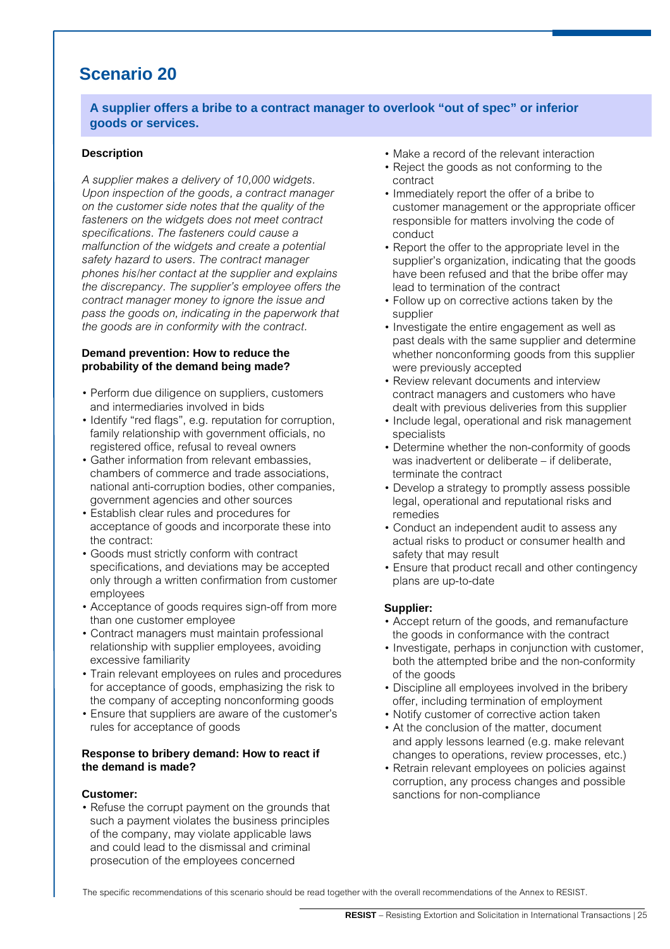### **A supplier offers a bribe to a contract manager to overlook "out of spec" or inferior goods or services.**

#### **Description**

*A supplier makes a delivery of 10,000 widgets. Upon inspection of the goods, a contract manager on the customer side notes that the quality of the fasteners on the widgets does not meet contract specifications. The fasteners could cause a malfunction of the widgets and create a potential safety hazard to users. The contract manager phones his/her contact at the supplier and explains the discrepancy. The supplier's employee offers the contract manager money to ignore the issue and pass the goods on, indicating in the paperwork that the goods are in conformity with the contract.*

#### **Demand prevention: How to reduce the probability of the demand being made?**

- Perform due diligence on suppliers, customers and intermediaries involved in bids
- Identify "red flags", e.g. reputation for corruption, family relationship with government officials, no registered office, refusal to reveal owners
- Gather information from relevant embassies, chambers of commerce and trade associations, national anti-corruption bodies, other companies, government agencies and other sources
- Establish clear rules and procedures for acceptance of goods and incorporate these into the contract:
- Goods must strictly conform with contract specifications, and deviations may be accepted only through a written confirmation from customer employees
- Acceptance of goods requires sign-off from more than one customer employee
- Contract managers must maintain professional relationship with supplier employees, avoiding excessive familiarity
- Train relevant employees on rules and procedures for acceptance of goods, emphasizing the risk to the company of accepting nonconforming goods
- Ensure that suppliers are aware of the customer's rules for acceptance of goods

#### **Response to bribery demand: How to react if the demand is made?**

#### **Customer:**

• Refuse the corrupt payment on the grounds that such a payment violates the business principles of the company, may violate applicable laws and could lead to the dismissal and criminal prosecution of the employees concerned

- Make a record of the relevant interaction
- Reject the goods as not conforming to the contract
- Immediately report the offer of a bribe to customer management or the appropriate officer responsible for matters involving the code of conduct
- Report the offer to the appropriate level in the supplier's organization, indicating that the goods have been refused and that the bribe offer may lead to termination of the contract
- Follow up on corrective actions taken by the supplier
- Investigate the entire engagement as well as past deals with the same supplier and determine whether nonconforming goods from this supplier were previously accepted
- Review relevant documents and interview contract managers and customers who have dealt with previous deliveries from this supplier
- Include legal, operational and risk management specialists
- Determine whether the non-conformity of goods was inadvertent or deliberate – if deliberate, terminate the contract
- Develop a strategy to promptly assess possible legal, operational and reputational risks and remedies
- Conduct an independent audit to assess any actual risks to product or consumer health and safety that may result
- Ensure that product recall and other contingency plans are up-to-date

#### **Supplier:**

- Accept return of the goods, and remanufacture the goods in conformance with the contract
- Investigate, perhaps in conjunction with customer, both the attempted bribe and the non-conformity of the goods
- Discipline all employees involved in the bribery offer, including termination of employment
- Notify customer of corrective action taken
- At the conclusion of the matter, document and apply lessons learned (e.g. make relevant changes to operations, review processes, etc.)
- Retrain relevant employees on policies against corruption, any process changes and possible sanctions for non-compliance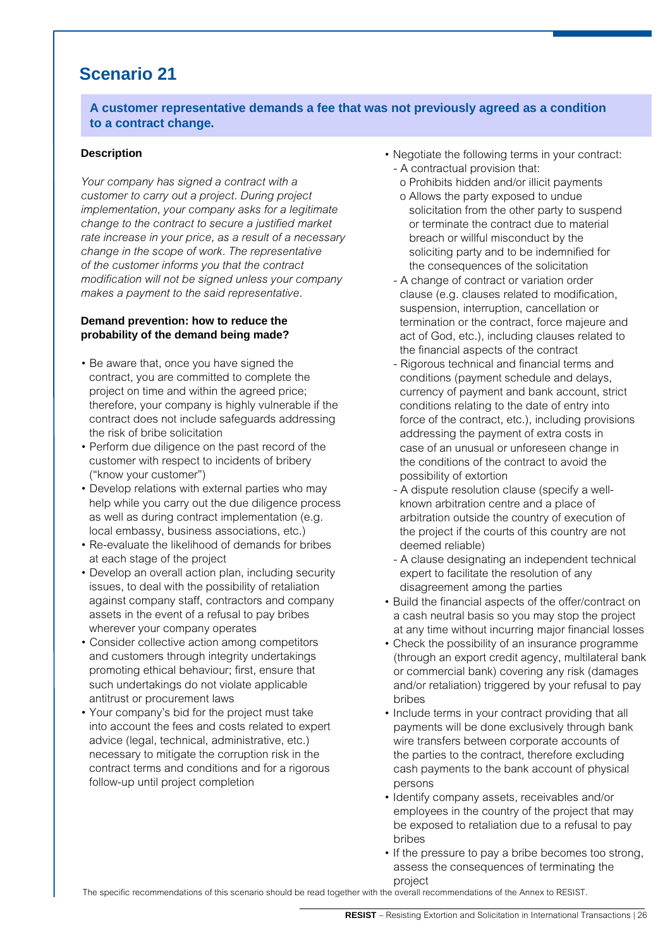### **A customer representative demands a fee that was not previously agreed as a condition to a contract change.**

#### **Description**

*Your company has signed a contract with a customer to carry out a project. During project implementation, your company asks for a legitimate change to the contract to secure a justified market rate increase in your price, as a result of a necessary change in the scope of work. The representative of the customer informs you that the contract modification will not be signed unless your company makes a payment to the said representative.*

#### **Demand prevention: how to reduce the probability of the demand being made?**

- Be aware that, once you have signed the contract, you are committed to complete the project on time and within the agreed price; therefore, your company is highly vulnerable if the contract does not include safeguards addressing the risk of bribe solicitation
- Perform due diligence on the past record of the customer with respect to incidents of bribery ("know your customer")
- Develop relations with external parties who may help while you carry out the due diligence process as well as during contract implementation (e.g. local embassy, business associations, etc.)
- Re-evaluate the likelihood of demands for bribes at each stage of the project
- Develop an overall action plan, including security issues, to deal with the possibility of retaliation against company staff, contractors and company assets in the event of a refusal to pay bribes wherever your company operates
- Consider collective action among competitors and customers through integrity undertakings promoting ethical behaviour; first, ensure that such undertakings do not violate applicable antitrust or procurement laws
- Your company's bid for the project must take into account the fees and costs related to expert advice (legal, technical, administrative, etc.) necessary to mitigate the corruption risk in the contract terms and conditions and for a rigorous follow-up until project completion
- Negotiate the following terms in your contract:
	- A contractual provision that:
	- o Prohibits hidden and/or illicit payments
	- o Allows the party exposed to undue solicitation from the other party to suspend or terminate the contract due to material breach or willful misconduct by the soliciting party and to be indemnified for the consequences of the solicitation
	- A change of contract or variation order clause (e.g. clauses related to modification, suspension, interruption, cancellation or termination or the contract, force majeure and act of God, etc.), including clauses related to the financial aspects of the contract
- Rigorous technical and financial terms and conditions (payment schedule and delays, currency of payment and bank account, strict conditions relating to the date of entry into force of the contract, etc.), including provisions addressing the payment of extra costs in case of an unusual or unforeseen change in the conditions of the contract to avoid the possibility of extortion
- A dispute resolution clause (specify a wellknown arbitration centre and a place of arbitration outside the country of execution of the project if the courts of this country are not deemed reliable)
- A clause designating an independent technical expert to facilitate the resolution of any disagreement among the parties
- Build the financial aspects of the offer/contract on a cash neutral basis so you may stop the project at any time without incurring major financial losses
- Check the possibility of an insurance programme (through an export credit agency, multilateral bank or commercial bank) covering any risk (damages and/or retaliation) triggered by your refusal to pay bribes
- Include terms in your contract providing that all payments will be done exclusively through bank wire transfers between corporate accounts of the parties to the contract, therefore excluding cash payments to the bank account of physical persons
- Identify company assets, receivables and/or employees in the country of the project that may be exposed to retaliation due to a refusal to pay bribes
- If the pressure to pay a bribe becomes too strong, assess the consequences of terminating the project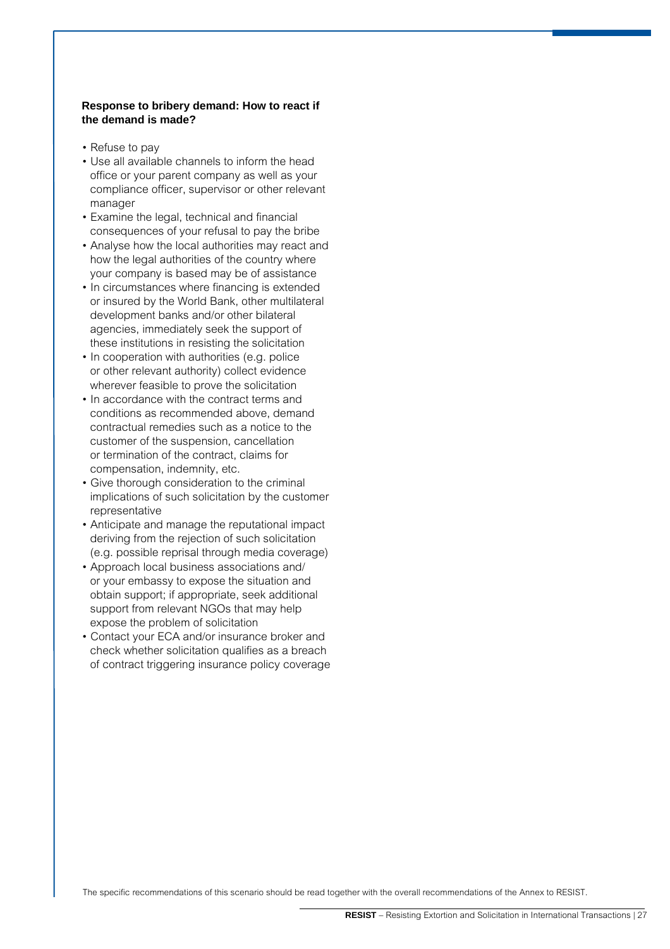#### **Response to bribery demand: How to react if the demand is made?**

- Refuse to pay
- Use all available channels to inform the head office or your parent company as well as your compliance officer, supervisor or other relevant manager
- Examine the legal, technical and financial consequences of your refusal to pay the bribe
- Analyse how the local authorities may react and how the legal authorities of the country where your company is based may be of assistance
- In circumstances where financing is extended or insured by the World Bank, other multilateral development banks and/or other bilateral agencies, immediately seek the support of these institutions in resisting the solicitation
- In cooperation with authorities (e.g. police or other relevant authority) collect evidence wherever feasible to prove the solicitation
- In accordance with the contract terms and conditions as recommended above, demand contractual remedies such as a notice to the customer of the suspension, cancellation or termination of the contract, claims for compensation, indemnity, etc.
- Give thorough consideration to the criminal implications of such solicitation by the customer representative
- Anticipate and manage the reputational impact deriving from the rejection of such solicitation (e.g. possible reprisal through media coverage)
- Approach local business associations and/ or your embassy to expose the situation and obtain support; if appropriate, seek additional support from relevant NGOs that may help expose the problem of solicitation
- Contact your ECA and/or insurance broker and check whether solicitation qualifies as a breach of contract triggering insurance policy coverage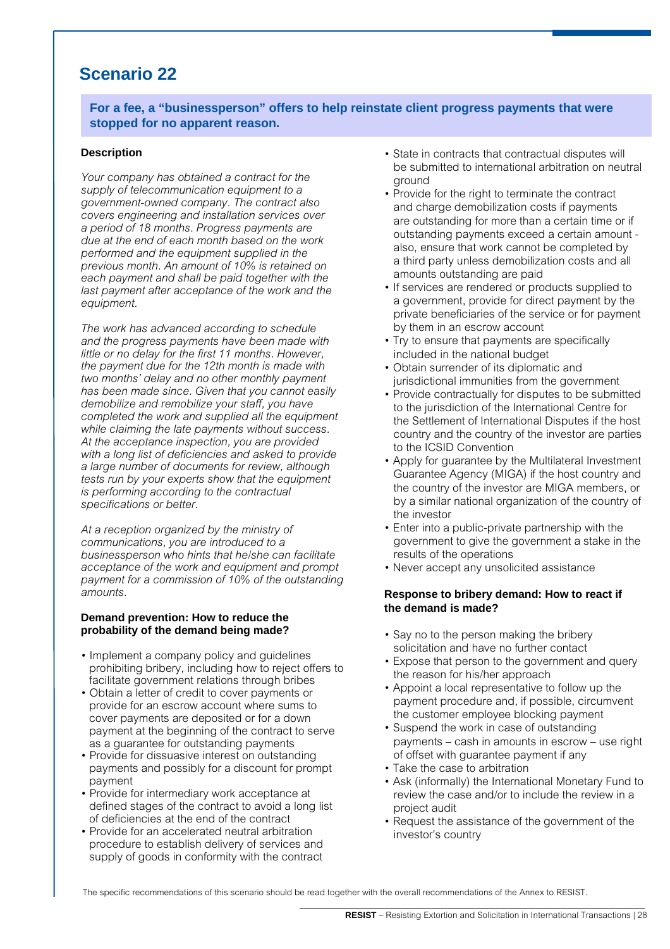### **For a fee, a "businessperson" offers to help reinstate client progress payments that were stopped for no apparent reason.**

#### **Description**

*Your company has obtained a contract for the supply of telecommunication equipment to a government-owned company. The contract also covers engineering and installation services over a period of 18 months. Progress payments are due at the end of each month based on the work performed and the equipment supplied in the previous month. An amount of 10% is retained on each payment and shall be paid together with the last payment after acceptance of the work and the equipment.*

*The work has advanced according to schedule and the progress payments have been made with little or no delay for the first 11 months. However, the payment due for the 12th month is made with two months' delay and no other monthly payment has been made since. Given that you cannot easily demobilize and remobilize your staff, you have completed the work and supplied all the equipment while claiming the late payments without success. At the acceptance inspection, you are provided with a long list of deficiencies and asked to provide a large number of documents for review, although tests run by your experts show that the equipment is performing according to the contractual specifications or better.* 

*At a reception organized by the ministry of communications, you are introduced to a businessperson who hints that he/she can facilitate acceptance of the work and equipment and prompt payment for a commission of 10% of the outstanding amounts.*

#### **Demand prevention: How to reduce the probability of the demand being made?**

- Implement a company policy and guidelines prohibiting bribery, including how to reject offers to facilitate government relations through bribes
- Obtain a letter of credit to cover payments or provide for an escrow account where sums to cover payments are deposited or for a down payment at the beginning of the contract to serve as a guarantee for outstanding payments
- Provide for dissuasive interest on outstanding payments and possibly for a discount for prompt payment
- Provide for intermediary work acceptance at defined stages of the contract to avoid a long list of deficiencies at the end of the contract
- Provide for an accelerated neutral arbitration procedure to establish delivery of services and supply of goods in conformity with the contract
- State in contracts that contractual disputes will be submitted to international arbitration on neutral ground
- Provide for the right to terminate the contract and charge demobilization costs if payments are outstanding for more than a certain time or if outstanding payments exceed a certain amount also, ensure that work cannot be completed by a third party unless demobilization costs and all amounts outstanding are paid
- If services are rendered or products supplied to a government, provide for direct payment by the private beneficiaries of the service or for payment by them in an escrow account
- Try to ensure that payments are specifically included in the national budget
- Obtain surrender of its diplomatic and jurisdictional immunities from the government
- Provide contractually for disputes to be submitted to the jurisdiction of the International Centre for the Settlement of International Disputes if the host country and the country of the investor are parties to the ICSID Convention
- Apply for guarantee by the Multilateral Investment Guarantee Agency (MIGA) if the host country and the country of the investor are MIGA members, or by a similar national organization of the country of the investor
- Enter into a public-private partnership with the government to give the government a stake in the results of the operations
- Never accept any unsolicited assistance

#### **Response to bribery demand: How to react if the demand is made?**

- Say no to the person making the bribery solicitation and have no further contact
- Expose that person to the government and query the reason for his/her approach
- Appoint a local representative to follow up the payment procedure and, if possible, circumvent the customer employee blocking payment
- Suspend the work in case of outstanding payments – cash in amounts in escrow – use right of offset with guarantee payment if any
- Take the case to arbitration
- Ask (informally) the International Monetary Fund to review the case and/or to include the review in a project audit
- Request the assistance of the government of the investor's country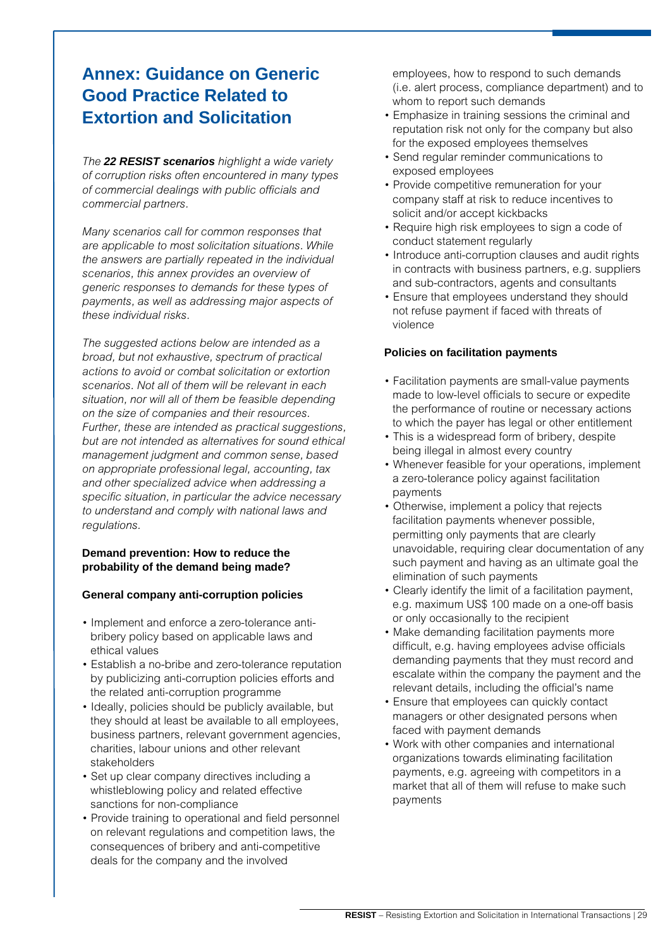## **Annex: Guidance on Generic Good Practice Related to Extortion and Solicitation**

*The* **22 RESIST scenarios** *highlight a wide variety of corruption risks often encountered in many types of commercial dealings with public officials and commercial partners.*

*Many scenarios call for common responses that are applicable to most solicitation situations. While the answers are partially repeated in the individual scenarios, this annex provides an overview of generic responses to demands for these types of payments, as well as addressing major aspects of these individual risks.*

*The suggested actions below are intended as a broad, but not exhaustive, spectrum of practical actions to avoid or combat solicitation or extortion scenarios. Not all of them will be relevant in each situation, nor will all of them be feasible depending on the size of companies and their resources. Further, these are intended as practical suggestions, but are not intended as alternatives for sound ethical management judgment and common sense, based on appropriate professional legal, accounting, tax and other specialized advice when addressing a specific situation, in particular the advice necessary to understand and comply with national laws and regulations.*

### **Demand prevention: How to reduce the probability of the demand being made?**

#### **General company anti-corruption policies**

- Implement and enforce a zero-tolerance antibribery policy based on applicable laws and ethical values
- Establish a no-bribe and zero-tolerance reputation by publicizing anti-corruption policies efforts and the related anti-corruption programme
- Ideally, policies should be publicly available, but they should at least be available to all employees, business partners, relevant government agencies, charities, labour unions and other relevant stakeholders
- Set up clear company directives including a whistleblowing policy and related effective sanctions for non-compliance
- Provide training to operational and field personnel on relevant regulations and competition laws, the consequences of bribery and anti-competitive deals for the company and the involved

employees, how to respond to such demands (i.e. alert process, compliance department) and to whom to report such demands

- Emphasize in training sessions the criminal and reputation risk not only for the company but also for the exposed employees themselves
- Send regular reminder communications to exposed employees
- Provide competitive remuneration for your company staff at risk to reduce incentives to solicit and/or accept kickbacks
- Require high risk employees to sign a code of conduct statement regularly
- Introduce anti-corruption clauses and audit rights in contracts with business partners, e.g. suppliers and sub-contractors, agents and consultants
- Ensure that employees understand they should not refuse payment if faced with threats of violence

### **Policies on facilitation payments**

- Facilitation payments are small-value payments made to low-level officials to secure or expedite the performance of routine or necessary actions to which the payer has legal or other entitlement
- This is a widespread form of bribery, despite being illegal in almost every country
- Whenever feasible for your operations, implement a zero-tolerance policy against facilitation payments
- Otherwise, implement a policy that rejects facilitation payments whenever possible, permitting only payments that are clearly unavoidable, requiring clear documentation of any such payment and having as an ultimate goal the elimination of such payments
- Clearly identify the limit of a facilitation payment, e.g. maximum US\$ 100 made on a one-off basis or only occasionally to the recipient
- Make demanding facilitation payments more difficult, e.g. having employees advise officials demanding payments that they must record and escalate within the company the payment and the relevant details, including the official's name
- Ensure that employees can quickly contact managers or other designated persons when faced with payment demands
- Work with other companies and international organizations towards eliminating facilitation payments, e.g. agreeing with competitors in a market that all of them will refuse to make such payments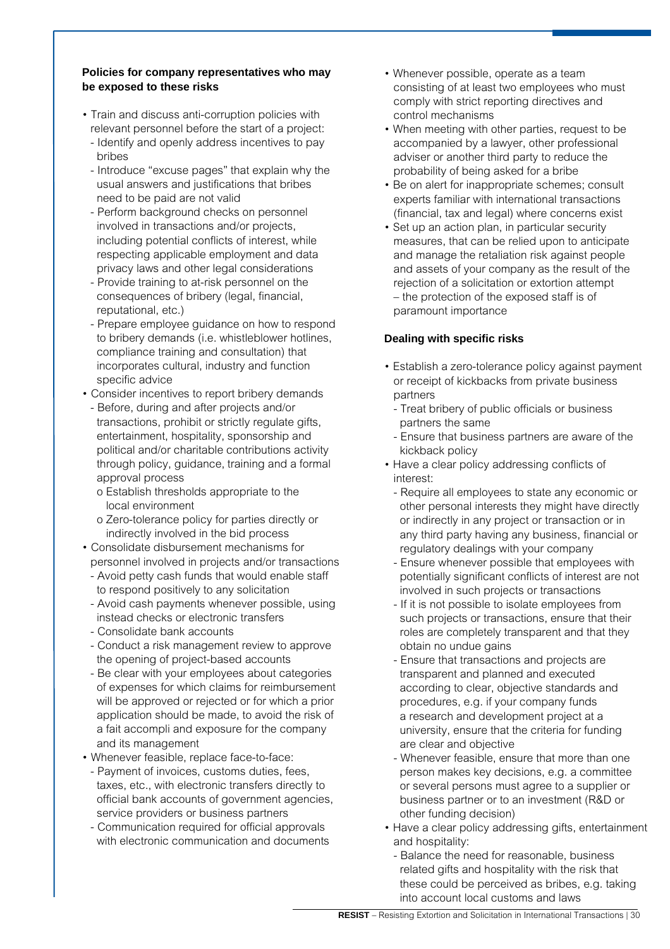#### **Policies for company representatives who may be exposed to these risks**

- Train and discuss anti-corruption policies with relevant personnel before the start of a project:
- Identify and openly address incentives to pay bribes
- Introduce "excuse pages" that explain why the usual answers and justifications that bribes need to be paid are not valid
- Perform background checks on personnel involved in transactions and/or projects, including potential conflicts of interest, while respecting applicable employment and data privacy laws and other legal considerations
- Provide training to at-risk personnel on the consequences of bribery (legal, financial, reputational, etc.)
- Prepare employee guidance on how to respond to bribery demands (i.e. whistleblower hotlines, compliance training and consultation) that incorporates cultural, industry and function specific advice
- Consider incentives to report bribery demands
- Before, during and after projects and/or transactions, prohibit or strictly regulate gifts, entertainment, hospitality, sponsorship and political and/or charitable contributions activity through policy, guidance, training and a formal approval process
	- o Establish thresholds appropriate to the local environment
	- o Zero-tolerance policy for parties directly or indirectly involved in the bid process
- Consolidate disbursement mechanisms for personnel involved in projects and/or transactions
- Avoid petty cash funds that would enable staff to respond positively to any solicitation
- Avoid cash payments whenever possible, using instead checks or electronic transfers
- Consolidate bank accounts
- Conduct a risk management review to approve the opening of project-based accounts
- Be clear with your employees about categories of expenses for which claims for reimbursement will be approved or rejected or for which a prior application should be made, to avoid the risk of a fait accompli and exposure for the company and its management
- Whenever feasible, replace face-to-face:
- Payment of invoices, customs duties, fees, taxes, etc., with electronic transfers directly to official bank accounts of government agencies, service providers or business partners
- Communication required for official approvals with electronic communication and documents
- Whenever possible, operate as a team consisting of at least two employees who must comply with strict reporting directives and control mechanisms
- When meeting with other parties, request to be accompanied by a lawyer, other professional adviser or another third party to reduce the probability of being asked for a bribe
- Be on alert for inappropriate schemes; consult experts familiar with international transactions (financial, tax and legal) where concerns exist
- Set up an action plan, in particular security measures, that can be relied upon to anticipate and manage the retaliation risk against people and assets of your company as the result of the rejection of a solicitation or extortion attempt – the protection of the exposed staff is of paramount importance

### **Dealing with specific risks**

- Establish a zero-tolerance policy against payment or receipt of kickbacks from private business partners
	- Treat bribery of public officials or business partners the same
	- Ensure that business partners are aware of the kickback policy
- Have a clear policy addressing conflicts of interest:
- Require all employees to state any economic or other personal interests they might have directly or indirectly in any project or transaction or in any third party having any business, financial or regulatory dealings with your company
- Ensure whenever possible that employees with potentially significant conflicts of interest are not involved in such projects or transactions
- If it is not possible to isolate employees from such projects or transactions, ensure that their roles are completely transparent and that they obtain no undue gains
- Ensure that transactions and projects are transparent and planned and executed according to clear, objective standards and procedures, e.g. if your company funds a research and development project at a university, ensure that the criteria for funding are clear and objective
- Whenever feasible, ensure that more than one person makes key decisions, e.g. a committee or several persons must agree to a supplier or business partner or to an investment (R&D or other funding decision)
- Have a clear policy addressing gifts, entertainment and hospitality:
- Balance the need for reasonable, business related gifts and hospitality with the risk that these could be perceived as bribes, e.g. taking into account local customs and laws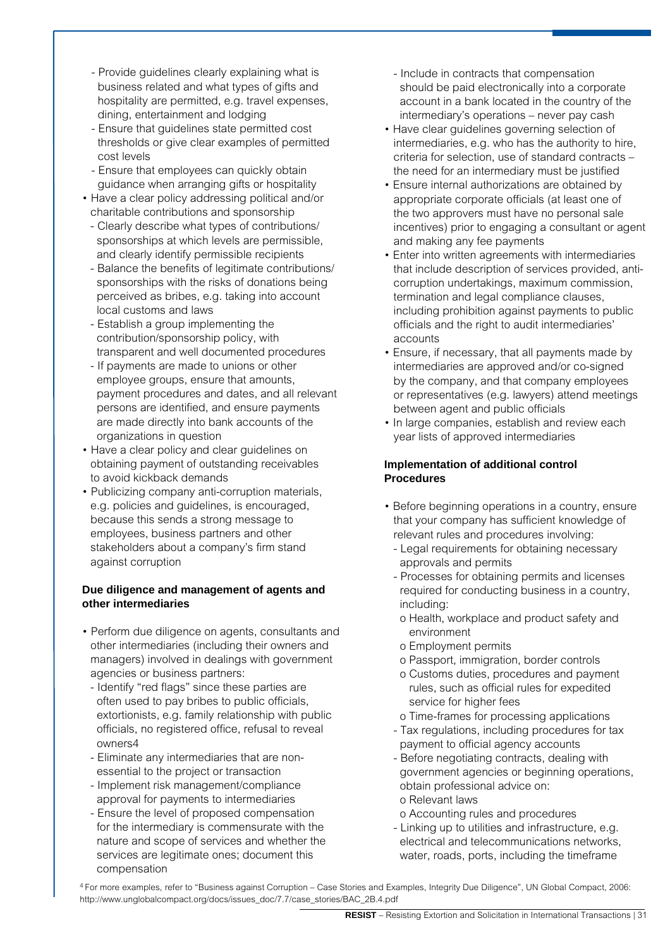- Provide guidelines clearly explaining what is business related and what types of gifts and hospitality are permitted, e.g. travel expenses, dining, entertainment and lodging
- Ensure that guidelines state permitted cost thresholds or give clear examples of permitted cost levels
- Ensure that employees can quickly obtain guidance when arranging gifts or hospitality
- Have a clear policy addressing political and/or charitable contributions and sponsorship
- Clearly describe what types of contributions/ sponsorships at which levels are permissible, and clearly identify permissible recipients
- Balance the benefits of legitimate contributions/ sponsorships with the risks of donations being perceived as bribes, e.g. taking into account local customs and laws
- Establish a group implementing the contribution/sponsorship policy, with transparent and well documented procedures
- If payments are made to unions or other employee groups, ensure that amounts, payment procedures and dates, and all relevant persons are identified, and ensure payments are made directly into bank accounts of the organizations in question
- Have a clear policy and clear guidelines on obtaining payment of outstanding receivables to avoid kickback demands
- Publicizing company anti-corruption materials, e.g. policies and guidelines, is encouraged, because this sends a strong message to employees, business partners and other stakeholders about a company's firm stand against corruption

### **Due diligence and management of agents and other intermediaries**

- Perform due diligence on agents, consultants and other intermediaries (including their owners and managers) involved in dealings with government agencies or business partners:
- Identify "red flags" since these parties are often used to pay bribes to public officials, extortionists, e.g. family relationship with public officials, no registered office, refusal to reveal owners4
- Eliminate any intermediaries that are nonessential to the project or transaction
- Implement risk management/compliance approval for payments to intermediaries
- Ensure the level of proposed compensation for the intermediary is commensurate with the nature and scope of services and whether the services are legitimate ones; document this compensation
- Include in contracts that compensation should be paid electronically into a corporate account in a bank located in the country of the intermediary's operations – never pay cash
- Have clear guidelines governing selection of intermediaries, e.g. who has the authority to hire, criteria for selection, use of standard contracts – the need for an intermediary must be justified
- Ensure internal authorizations are obtained by appropriate corporate officials (at least one of the two approvers must have no personal sale incentives) prior to engaging a consultant or agent and making any fee payments
- Enter into written agreements with intermediaries that include description of services provided, anticorruption undertakings, maximum commission, termination and legal compliance clauses, including prohibition against payments to public officials and the right to audit intermediaries' accounts
- Ensure, if necessary, that all payments made by intermediaries are approved and/or co-signed by the company, and that company employees or representatives (e.g. lawyers) attend meetings between agent and public officials
- In large companies, establish and review each year lists of approved intermediaries

### **Implementation of additional control Procedures**

- Before beginning operations in a country, ensure that your company has sufficient knowledge of relevant rules and procedures involving:
	- Legal requirements for obtaining necessary approvals and permits
	- Processes for obtaining permits and licenses required for conducting business in a country, including:
	- o Health, workplace and product safety and environment
	- o Employment permits
	- o Passport, immigration, border controls
	- o Customs duties, procedures and payment rules, such as official rules for expedited service for higher fees
	- o Time-frames for processing applications
	- Tax regulations, including procedures for tax payment to official agency accounts
	- Before negotiating contracts, dealing with government agencies or beginning operations, obtain professional advice on: o Relevant laws
	- o Accounting rules and procedures
- Linking up to utilities and infrastructure, e.g. electrical and telecommunications networks, water, roads, ports, including the timeframe

<sup>4</sup>For more examples, refer to "Business against Corruption – Case Stories and Examples, Integrity Due Diligence", UN Global Compact, 2006: http://www.unglobalcompact.org/docs/issues\_doc/7.7/case\_stories/BAC\_2B.4.pdf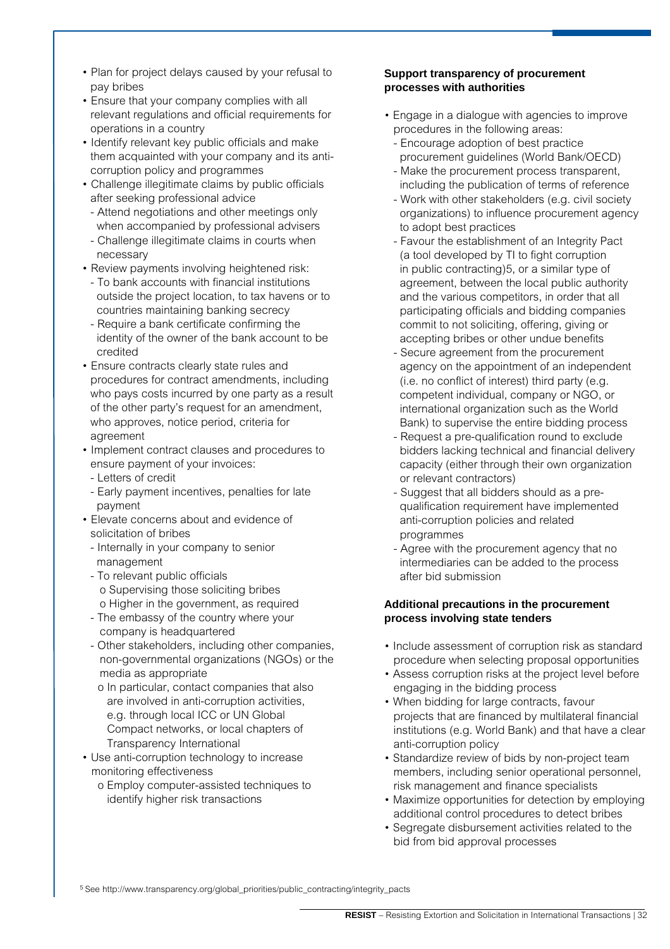- Plan for project delays caused by your refusal to pay bribes
- Ensure that your company complies with all relevant regulations and official requirements for operations in a country
- Identify relevant key public officials and make them acquainted with your company and its anticorruption policy and programmes
- Challenge illegitimate claims by public officials after seeking professional advice
- Attend negotiations and other meetings only when accompanied by professional advisers
- Challenge illegitimate claims in courts when necessary
- Review payments involving heightened risk:
- To bank accounts with financial institutions outside the project location, to tax havens or to countries maintaining banking secrecy
- Require a bank certificate confirming the identity of the owner of the bank account to be credited
- Ensure contracts clearly state rules and procedures for contract amendments, including who pays costs incurred by one party as a result of the other party's request for an amendment, who approves, notice period, criteria for agreement
- Implement contract clauses and procedures to ensure payment of your invoices:
- Letters of credit
- Early payment incentives, penalties for late payment
- Elevate concerns about and evidence of solicitation of bribes
- Internally in your company to senior management
- To relevant public officials o Supervising those soliciting bribes o Higher in the government, as required
- The embassy of the country where your company is headquartered
- Other stakeholders, including other companies, non-governmental organizations (NGOs) or the media as appropriate
	- o In particular, contact companies that also are involved in anti-corruption activities, e.g. through local ICC or UN Global Compact networks, or local chapters of Transparency International
- Use anti-corruption technology to increase monitoring effectiveness
	- o Employ computer-assisted techniques to identify higher risk transactions

#### **Support transparency of procurement processes with authorities**

- Engage in a dialogue with agencies to improve procedures in the following areas:
	- Encourage adoption of best practice procurement guidelines (World Bank/OECD)
- Make the procurement process transparent, including the publication of terms of reference
- Work with other stakeholders (e.g. civil society organizations) to influence procurement agency to adopt best practices
- Favour the establishment of an Integrity Pact (a tool developed by TI to fight corruption in public contracting)5, or a similar type of agreement, between the local public authority and the various competitors, in order that all participating officials and bidding companies commit to not soliciting, offering, giving or accepting bribes or other undue benefits
- Secure agreement from the procurement agency on the appointment of an independent (i.e. no conflict of interest) third party (e.g. competent individual, company or NGO, or international organization such as the World Bank) to supervise the entire bidding process
- Request a pre-qualification round to exclude bidders lacking technical and financial delivery capacity (either through their own organization or relevant contractors)
- Suggest that all bidders should as a prequalification requirement have implemented anti-corruption policies and related programmes
- Agree with the procurement agency that no intermediaries can be added to the process after bid submission

### **Additional precautions in the procurement process involving state tenders**

- Include assessment of corruption risk as standard procedure when selecting proposal opportunities
- Assess corruption risks at the project level before engaging in the bidding process
- When bidding for large contracts, favour projects that are financed by multilateral financial institutions (e.g. World Bank) and that have a clear anti-corruption policy
- Standardize review of bids by non-project team members, including senior operational personnel, risk management and finance specialists
- Maximize opportunities for detection by employing additional control procedures to detect bribes
- Segregate disbursement activities related to the bid from bid approval processes

5 See http://www.transparency.org/global\_priorities/public\_contracting/integrity\_pacts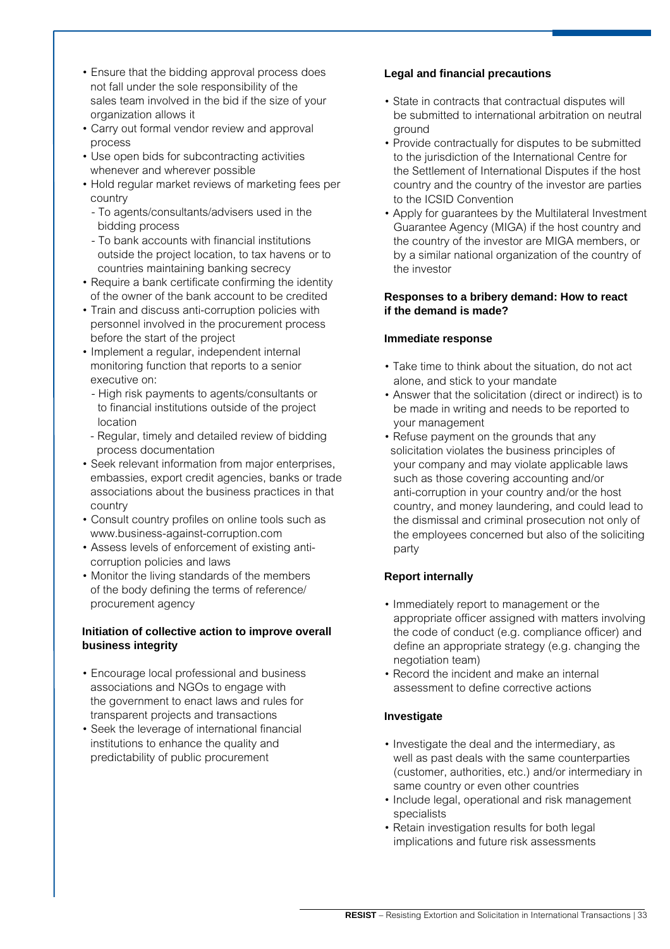- Ensure that the bidding approval process does not fall under the sole responsibility of the sales team involved in the bid if the size of your organization allows it
- Carry out formal vendor review and approval process
- Use open bids for subcontracting activities whenever and wherever possible
- Hold regular market reviews of marketing fees per country
- To agents/consultants/advisers used in the bidding process
- To bank accounts with financial institutions outside the project location, to tax havens or to countries maintaining banking secrecy
- Require a bank certificate confirming the identity of the owner of the bank account to be credited
- Train and discuss anti-corruption policies with personnel involved in the procurement process before the start of the project
- Implement a regular, independent internal monitoring function that reports to a senior executive on:
	- High risk payments to agents/consultants or to financial institutions outside of the project location
- Regular, timely and detailed review of bidding process documentation
- Seek relevant information from major enterprises, embassies, export credit agencies, banks or trade associations about the business practices in that country
- Consult country profiles on online tools such as www.business-against-corruption.com
- Assess levels of enforcement of existing anticorruption policies and laws
- Monitor the living standards of the members of the body defining the terms of reference/ procurement agency

### **Initiation of collective action to improve overall business integrity**

- Encourage local professional and business associations and NGOs to engage with the government to enact laws and rules for transparent projects and transactions
- Seek the leverage of international financial institutions to enhance the quality and predictability of public procurement

### **Legal and financial precautions**

- State in contracts that contractual disputes will be submitted to international arbitration on neutral ground
- Provide contractually for disputes to be submitted to the jurisdiction of the International Centre for the Settlement of International Disputes if the host country and the country of the investor are parties to the ICSID Convention
- Apply for guarantees by the Multilateral Investment Guarantee Agency (MIGA) if the host country and the country of the investor are MIGA members, or by a similar national organization of the country of the investor

### **Responses to a bribery demand: How to react if the demand is made?**

### **Immediate response**

- Take time to think about the situation, do not act alone, and stick to your mandate
- Answer that the solicitation (direct or indirect) is to be made in writing and needs to be reported to your management
- Refuse payment on the grounds that any solicitation violates the business principles of your company and may violate applicable laws such as those covering accounting and/or anti-corruption in your country and/or the host country, and money laundering, and could lead to the dismissal and criminal prosecution not only of the employees concerned but also of the soliciting party

### **Report internally**

- Immediately report to management or the appropriate officer assigned with matters involving the code of conduct (e.g. compliance officer) and define an appropriate strategy (e.g. changing the negotiation team)
- Record the incident and make an internal assessment to define corrective actions

### **Investigate**

- Investigate the deal and the intermediary, as well as past deals with the same counterparties (customer, authorities, etc.) and/or intermediary in same country or even other countries
- Include legal, operational and risk management specialists
- Retain investigation results for both legal implications and future risk assessments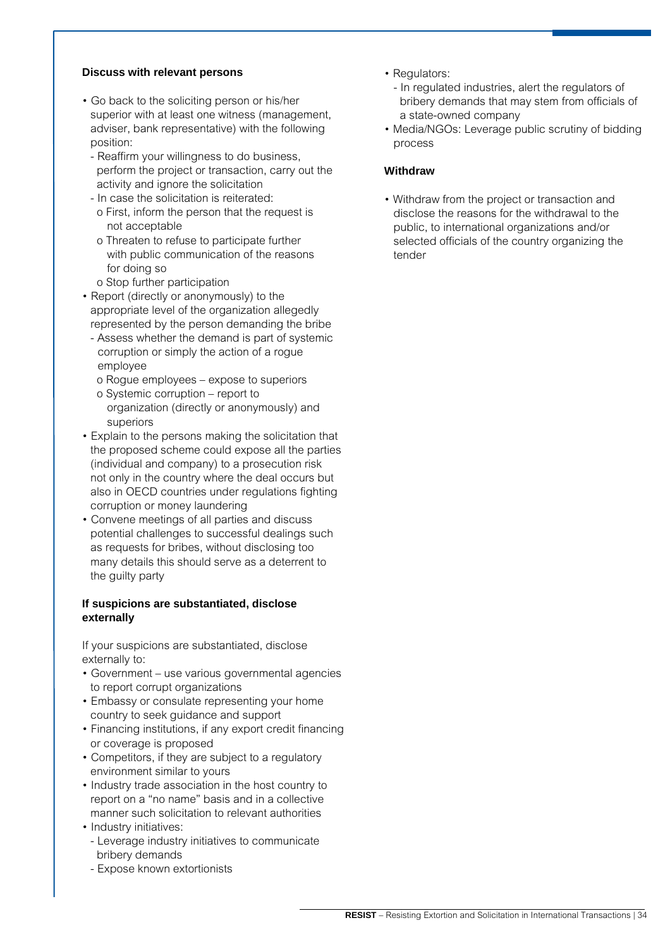#### **Discuss with relevant persons**

- Go back to the soliciting person or his/her superior with at least one witness (management, adviser, bank representative) with the following position:
	- Reaffirm your willingness to do business, perform the project or transaction, carry out the activity and ignore the solicitation
	- In case the solicitation is reiterated:
	- o First, inform the person that the request is not acceptable
	- o Threaten to refuse to participate further with public communication of the reasons for doing so
	- o Stop further participation
- Report (directly or anonymously) to the appropriate level of the organization allegedly represented by the person demanding the bribe
- Assess whether the demand is part of systemic corruption or simply the action of a rogue employee
- o Rogue employees expose to superiors
- o Systemic corruption report to organization (directly or anonymously) and superiors
- Explain to the persons making the solicitation that the proposed scheme could expose all the parties (individual and company) to a prosecution risk not only in the country where the deal occurs but also in OECD countries under regulations fighting corruption or money laundering
- Convene meetings of all parties and discuss potential challenges to successful dealings such as requests for bribes, without disclosing too many details this should serve as a deterrent to the guilty party

#### **If suspicions are substantiated, disclose externally**

If your suspicions are substantiated, disclose externally to:

- Government use various governmental agencies to report corrupt organizations
- Embassy or consulate representing your home country to seek guidance and support
- Financing institutions, if any export credit financing or coverage is proposed
- Competitors, if they are subject to a regulatory environment similar to yours
- Industry trade association in the host country to report on a "no name" basis and in a collective manner such solicitation to relevant authorities
- Industry initiatives:
- Leverage industry initiatives to communicate bribery demands
- Expose known extortionists
- Regulators:
	- In regulated industries, alert the regulators of bribery demands that may stem from officials of a state-owned company
- Media/NGOs: Leverage public scrutiny of bidding process

#### **Withdraw**

• Withdraw from the project or transaction and disclose the reasons for the withdrawal to the public, to international organizations and/or selected officials of the country organizing the tender